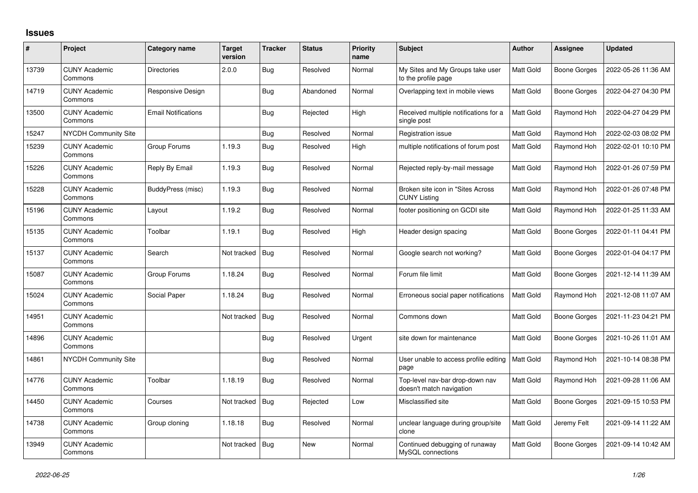## **Issues**

| #     | Project                         | Category name              | <b>Target</b><br>version | <b>Tracker</b> | <b>Status</b> | <b>Priority</b><br>name | <b>Subject</b>                                              | <b>Author</b>    | Assignee     | <b>Updated</b>      |
|-------|---------------------------------|----------------------------|--------------------------|----------------|---------------|-------------------------|-------------------------------------------------------------|------------------|--------------|---------------------|
| 13739 | <b>CUNY Academic</b><br>Commons | <b>Directories</b>         | 2.0.0                    | Bug            | Resolved      | Normal                  | My Sites and My Groups take user<br>to the profile page     | Matt Gold        | Boone Gorges | 2022-05-26 11:36 AM |
| 14719 | <b>CUNY Academic</b><br>Commons | <b>Responsive Design</b>   |                          | <b>Bug</b>     | Abandoned     | Normal                  | Overlapping text in mobile views                            | Matt Gold        | Boone Gorges | 2022-04-27 04:30 PM |
| 13500 | <b>CUNY Academic</b><br>Commons | <b>Email Notifications</b> |                          | Bug            | Rejected      | High                    | Received multiple notifications for a<br>single post        | <b>Matt Gold</b> | Raymond Hoh  | 2022-04-27 04:29 PM |
| 15247 | <b>NYCDH Community Site</b>     |                            |                          | Bug            | Resolved      | Normal                  | Registration issue                                          | Matt Gold        | Raymond Hoh  | 2022-02-03 08:02 PM |
| 15239 | <b>CUNY Academic</b><br>Commons | Group Forums               | 1.19.3                   | Bug            | Resolved      | High                    | multiple notifications of forum post                        | Matt Gold        | Raymond Hoh  | 2022-02-01 10:10 PM |
| 15226 | <b>CUNY Academic</b><br>Commons | Reply By Email             | 1.19.3                   | <b>Bug</b>     | Resolved      | Normal                  | Rejected reply-by-mail message                              | Matt Gold        | Raymond Hoh  | 2022-01-26 07:59 PM |
| 15228 | <b>CUNY Academic</b><br>Commons | BuddyPress (misc)          | 1.19.3                   | Bug            | Resolved      | Normal                  | Broken site icon in "Sites Across"<br><b>CUNY Listing</b>   | Matt Gold        | Raymond Hoh  | 2022-01-26 07:48 PM |
| 15196 | <b>CUNY Academic</b><br>Commons | Layout                     | 1.19.2                   | Bug            | Resolved      | Normal                  | footer positioning on GCDI site                             | Matt Gold        | Raymond Hoh  | 2022-01-25 11:33 AM |
| 15135 | <b>CUNY Academic</b><br>Commons | Toolbar                    | 1.19.1                   | Bug            | Resolved      | High                    | Header design spacing                                       | Matt Gold        | Boone Gorges | 2022-01-11 04:41 PM |
| 15137 | <b>CUNY Academic</b><br>Commons | Search                     | Not tracked              | Bug            | Resolved      | Normal                  | Google search not working?                                  | Matt Gold        | Boone Gorges | 2022-01-04 04:17 PM |
| 15087 | <b>CUNY Academic</b><br>Commons | Group Forums               | 1.18.24                  | <b>Bug</b>     | Resolved      | Normal                  | Forum file limit                                            | Matt Gold        | Boone Gorges | 2021-12-14 11:39 AM |
| 15024 | <b>CUNY Academic</b><br>Commons | Social Paper               | 1.18.24                  | Bug            | Resolved      | Normal                  | Erroneous social paper notifications                        | <b>Matt Gold</b> | Raymond Hoh  | 2021-12-08 11:07 AM |
| 14951 | <b>CUNY Academic</b><br>Commons |                            | Not tracked              | Bug            | Resolved      | Normal                  | Commons down                                                | Matt Gold        | Boone Gorges | 2021-11-23 04:21 PM |
| 14896 | <b>CUNY Academic</b><br>Commons |                            |                          | Bug            | Resolved      | Urgent                  | site down for maintenance                                   | Matt Gold        | Boone Gorges | 2021-10-26 11:01 AM |
| 14861 | <b>NYCDH Community Site</b>     |                            |                          | Bug            | Resolved      | Normal                  | User unable to access profile editing<br>page               | <b>Matt Gold</b> | Raymond Hoh  | 2021-10-14 08:38 PM |
| 14776 | <b>CUNY Academic</b><br>Commons | Toolbar                    | 1.18.19                  | <b>Bug</b>     | Resolved      | Normal                  | Top-level nav-bar drop-down nav<br>doesn't match navigation | Matt Gold        | Raymond Hoh  | 2021-09-28 11:06 AM |
| 14450 | <b>CUNY Academic</b><br>Commons | Courses                    | Not tracked              | Bug            | Rejected      | Low                     | Misclassified site                                          | Matt Gold        | Boone Gorges | 2021-09-15 10:53 PM |
| 14738 | <b>CUNY Academic</b><br>Commons | Group cloning              | 1.18.18                  | <b>Bug</b>     | Resolved      | Normal                  | unclear language during group/site<br>clone                 | Matt Gold        | Jeremy Felt  | 2021-09-14 11:22 AM |
| 13949 | <b>CUNY Academic</b><br>Commons |                            | Not tracked              | Bug            | <b>New</b>    | Normal                  | Continued debugging of runaway<br>MySQL connections         | Matt Gold        | Boone Gorges | 2021-09-14 10:42 AM |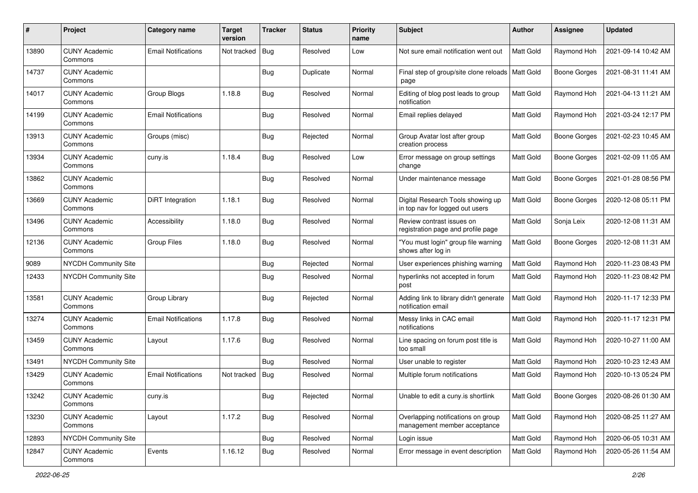| #     | Project                         | <b>Category name</b>       | <b>Target</b><br>version | <b>Tracker</b> | <b>Status</b> | <b>Priority</b><br>name | Subject                                                              | Author           | <b>Assignee</b>     | <b>Updated</b>      |
|-------|---------------------------------|----------------------------|--------------------------|----------------|---------------|-------------------------|----------------------------------------------------------------------|------------------|---------------------|---------------------|
| 13890 | <b>CUNY Academic</b><br>Commons | <b>Email Notifications</b> | Not tracked              | Bug            | Resolved      | Low                     | Not sure email notification went out                                 | Matt Gold        | Raymond Hoh         | 2021-09-14 10:42 AM |
| 14737 | <b>CUNY Academic</b><br>Commons |                            |                          | <b>Bug</b>     | Duplicate     | Normal                  | Final step of group/site clone reloads   Matt Gold<br>page           |                  | <b>Boone Gorges</b> | 2021-08-31 11:41 AM |
| 14017 | <b>CUNY Academic</b><br>Commons | Group Blogs                | 1.18.8                   | Bug            | Resolved      | Normal                  | Editing of blog post leads to group<br>notification                  | Matt Gold        | Raymond Hoh         | 2021-04-13 11:21 AM |
| 14199 | <b>CUNY Academic</b><br>Commons | <b>Email Notifications</b> |                          | <b>Bug</b>     | Resolved      | Normal                  | Email replies delayed                                                | Matt Gold        | Raymond Hoh         | 2021-03-24 12:17 PM |
| 13913 | <b>CUNY Academic</b><br>Commons | Groups (misc)              |                          | Bug            | Rejected      | Normal                  | Group Avatar lost after group<br>creation process                    | Matt Gold        | <b>Boone Gorges</b> | 2021-02-23 10:45 AM |
| 13934 | <b>CUNY Academic</b><br>Commons | cuny.is                    | 1.18.4                   | <b>Bug</b>     | Resolved      | Low                     | Error message on group settings<br>change                            | <b>Matt Gold</b> | Boone Gorges        | 2021-02-09 11:05 AM |
| 13862 | <b>CUNY Academic</b><br>Commons |                            |                          | Bug            | Resolved      | Normal                  | Under maintenance message                                            | <b>Matt Gold</b> | Boone Gorges        | 2021-01-28 08:56 PM |
| 13669 | <b>CUNY Academic</b><br>Commons | DiRT Integration           | 1.18.1                   | Bug            | Resolved      | Normal                  | Digital Research Tools showing up<br>in top nav for logged out users | Matt Gold        | <b>Boone Gorges</b> | 2020-12-08 05:11 PM |
| 13496 | <b>CUNY Academic</b><br>Commons | Accessibility              | 1.18.0                   | Bug            | Resolved      | Normal                  | Review contrast issues on<br>registration page and profile page      | Matt Gold        | Sonja Leix          | 2020-12-08 11:31 AM |
| 12136 | <b>CUNY Academic</b><br>Commons | <b>Group Files</b>         | 1.18.0                   | Bug            | Resolved      | Normal                  | "You must login" group file warning<br>shows after log in            | Matt Gold        | <b>Boone Gorges</b> | 2020-12-08 11:31 AM |
| 9089  | NYCDH Community Site            |                            |                          | Bug            | Rejected      | Normal                  | User experiences phishing warning                                    | Matt Gold        | Raymond Hoh         | 2020-11-23 08:43 PM |
| 12433 | NYCDH Community Site            |                            |                          | <b>Bug</b>     | Resolved      | Normal                  | hyperlinks not accepted in forum<br>post                             | <b>Matt Gold</b> | Raymond Hoh         | 2020-11-23 08:42 PM |
| 13581 | <b>CUNY Academic</b><br>Commons | Group Library              |                          | Bug            | Rejected      | Normal                  | Adding link to library didn't generate<br>notification email         | Matt Gold        | Raymond Hoh         | 2020-11-17 12:33 PM |
| 13274 | <b>CUNY Academic</b><br>Commons | <b>Email Notifications</b> | 1.17.8                   | Bug            | Resolved      | Normal                  | Messy links in CAC email<br>notifications                            | Matt Gold        | Raymond Hoh         | 2020-11-17 12:31 PM |
| 13459 | <b>CUNY Academic</b><br>Commons | Layout                     | 1.17.6                   | Bug            | Resolved      | Normal                  | Line spacing on forum post title is<br>too small                     | Matt Gold        | Raymond Hoh         | 2020-10-27 11:00 AM |
| 13491 | <b>NYCDH Community Site</b>     |                            |                          | Bug            | Resolved      | Normal                  | User unable to register                                              | Matt Gold        | Raymond Hoh         | 2020-10-23 12:43 AM |
| 13429 | <b>CUNY Academic</b><br>Commons | <b>Email Notifications</b> | Not tracked              | Bug            | Resolved      | Normal                  | Multiple forum notifications                                         | Matt Gold        | Raymond Hoh         | 2020-10-13 05:24 PM |
| 13242 | <b>CUNY Academic</b><br>Commons | cuny.is                    |                          | <b>Bug</b>     | Rejected      | Normal                  | Unable to edit a cuny.is shortlink                                   | Matt Gold        | Boone Gorges        | 2020-08-26 01:30 AM |
| 13230 | <b>CUNY Academic</b><br>Commons | Layout                     | 1.17.2                   | Bug            | Resolved      | Normal                  | Overlapping notifications on group<br>management member acceptance   | Matt Gold        | Raymond Hoh         | 2020-08-25 11:27 AM |
| 12893 | NYCDH Community Site            |                            |                          | Bug            | Resolved      | Normal                  | Login issue                                                          | Matt Gold        | Raymond Hoh         | 2020-06-05 10:31 AM |
| 12847 | <b>CUNY Academic</b><br>Commons | Events                     | 1.16.12                  | <b>Bug</b>     | Resolved      | Normal                  | Error message in event description                                   | Matt Gold        | Raymond Hoh         | 2020-05-26 11:54 AM |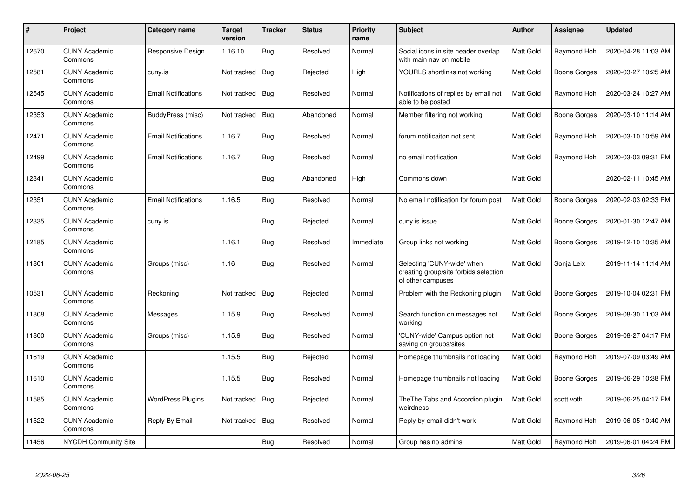| $\pmb{\#}$ | Project                         | Category name              | <b>Target</b><br>version | <b>Tracker</b> | <b>Status</b> | <b>Priority</b><br>name | <b>Subject</b>                                                                           | <b>Author</b>    | Assignee            | <b>Updated</b>      |
|------------|---------------------------------|----------------------------|--------------------------|----------------|---------------|-------------------------|------------------------------------------------------------------------------------------|------------------|---------------------|---------------------|
| 12670      | <b>CUNY Academic</b><br>Commons | Responsive Design          | 1.16.10                  | <b>Bug</b>     | Resolved      | Normal                  | Social icons in site header overlap<br>with main nav on mobile                           | Matt Gold        | Raymond Hoh         | 2020-04-28 11:03 AM |
| 12581      | <b>CUNY Academic</b><br>Commons | cuny.is                    | Not tracked              | Bug            | Rejected      | High                    | YOURLS shortlinks not working                                                            | Matt Gold        | <b>Boone Gorges</b> | 2020-03-27 10:25 AM |
| 12545      | <b>CUNY Academic</b><br>Commons | <b>Email Notifications</b> | Not tracked              | <b>Bug</b>     | Resolved      | Normal                  | Notifications of replies by email not<br>able to be posted                               | Matt Gold        | Raymond Hoh         | 2020-03-24 10:27 AM |
| 12353      | <b>CUNY Academic</b><br>Commons | BuddyPress (misc)          | Not tracked              | <b>Bug</b>     | Abandoned     | Normal                  | Member filtering not working                                                             | Matt Gold        | Boone Gorges        | 2020-03-10 11:14 AM |
| 12471      | <b>CUNY Academic</b><br>Commons | <b>Email Notifications</b> | 1.16.7                   | Bug            | Resolved      | Normal                  | forum notificaiton not sent                                                              | Matt Gold        | Raymond Hoh         | 2020-03-10 10:59 AM |
| 12499      | <b>CUNY Academic</b><br>Commons | <b>Email Notifications</b> | 1.16.7                   | Bug            | Resolved      | Normal                  | no email notification                                                                    | <b>Matt Gold</b> | Raymond Hoh         | 2020-03-03 09:31 PM |
| 12341      | <b>CUNY Academic</b><br>Commons |                            |                          | <b>Bug</b>     | Abandoned     | High                    | Commons down                                                                             | Matt Gold        |                     | 2020-02-11 10:45 AM |
| 12351      | <b>CUNY Academic</b><br>Commons | <b>Email Notifications</b> | 1.16.5                   | <b>Bug</b>     | Resolved      | Normal                  | No email notification for forum post                                                     | Matt Gold        | <b>Boone Gorges</b> | 2020-02-03 02:33 PM |
| 12335      | <b>CUNY Academic</b><br>Commons | cuny.is                    |                          | Bug            | Rejected      | Normal                  | cuny.is issue                                                                            | <b>Matt Gold</b> | <b>Boone Gorges</b> | 2020-01-30 12:47 AM |
| 12185      | <b>CUNY Academic</b><br>Commons |                            | 1.16.1                   | <b>Bug</b>     | Resolved      | Immediate               | Group links not working                                                                  | <b>Matt Gold</b> | Boone Gorges        | 2019-12-10 10:35 AM |
| 11801      | <b>CUNY Academic</b><br>Commons | Groups (misc)              | 1.16                     | <b>Bug</b>     | Resolved      | Normal                  | Selecting 'CUNY-wide' when<br>creating group/site forbids selection<br>of other campuses | Matt Gold        | Sonja Leix          | 2019-11-14 11:14 AM |
| 10531      | <b>CUNY Academic</b><br>Commons | Reckoning                  | Not tracked              | <b>Bug</b>     | Rejected      | Normal                  | Problem with the Reckoning plugin                                                        | Matt Gold        | <b>Boone Gorges</b> | 2019-10-04 02:31 PM |
| 11808      | <b>CUNY Academic</b><br>Commons | Messages                   | 1.15.9                   | <b>Bug</b>     | Resolved      | Normal                  | Search function on messages not<br>working                                               | Matt Gold        | <b>Boone Gorges</b> | 2019-08-30 11:03 AM |
| 11800      | <b>CUNY Academic</b><br>Commons | Groups (misc)              | 1.15.9                   | <b>Bug</b>     | Resolved      | Normal                  | 'CUNY-wide' Campus option not<br>saving on groups/sites                                  | Matt Gold        | <b>Boone Gorges</b> | 2019-08-27 04:17 PM |
| 11619      | <b>CUNY Academic</b><br>Commons |                            | 1.15.5                   | Bug            | Rejected      | Normal                  | Homepage thumbnails not loading                                                          | Matt Gold        | Raymond Hoh         | 2019-07-09 03:49 AM |
| 11610      | <b>CUNY Academic</b><br>Commons |                            | 1.15.5                   | Bug            | Resolved      | Normal                  | Homepage thumbnails not loading                                                          | Matt Gold        | Boone Gorges        | 2019-06-29 10:38 PM |
| 11585      | <b>CUNY Academic</b><br>Commons | WordPress Plugins          | Not tracked              | Bug            | Rejected      | Normal                  | The The Tabs and Accordion plugin<br>weirdness                                           | Matt Gold        | scott voth          | 2019-06-25 04:17 PM |
| 11522      | <b>CUNY Academic</b><br>Commons | Reply By Email             | Not tracked              | Bug            | Resolved      | Normal                  | Reply by email didn't work                                                               | Matt Gold        | Raymond Hoh         | 2019-06-05 10:40 AM |
| 11456      | NYCDH Community Site            |                            |                          | Bug            | Resolved      | Normal                  | Group has no admins                                                                      | Matt Gold        | Raymond Hoh         | 2019-06-01 04:24 PM |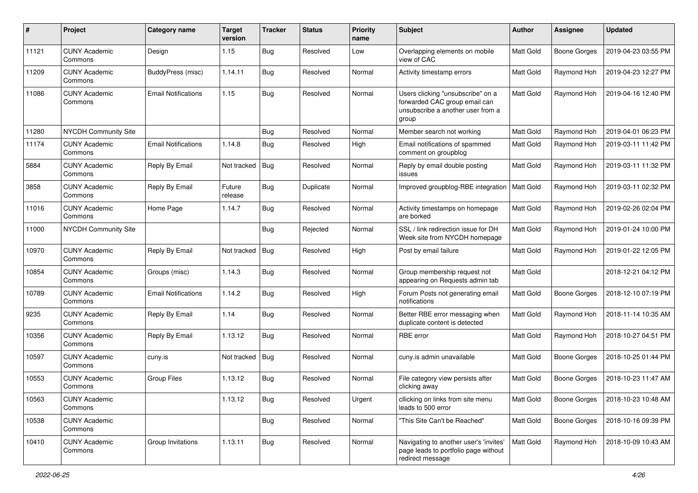| #     | Project                         | <b>Category name</b>       | <b>Target</b><br>version | <b>Tracker</b> | <b>Status</b> | <b>Priority</b><br>name | <b>Subject</b>                                                                                                   | Author           | Assignee            | <b>Updated</b>      |
|-------|---------------------------------|----------------------------|--------------------------|----------------|---------------|-------------------------|------------------------------------------------------------------------------------------------------------------|------------------|---------------------|---------------------|
| 11121 | <b>CUNY Academic</b><br>Commons | Design                     | 1.15                     | <b>Bug</b>     | Resolved      | Low                     | Overlapping elements on mobile<br>view of CAC                                                                    | Matt Gold        | <b>Boone Gorges</b> | 2019-04-23 03:55 PM |
| 11209 | <b>CUNY Academic</b><br>Commons | BuddyPress (misc)          | 1.14.11                  | <b>Bug</b>     | Resolved      | Normal                  | Activity timestamp errors                                                                                        | Matt Gold        | Raymond Hoh         | 2019-04-23 12:27 PM |
| 11086 | <b>CUNY Academic</b><br>Commons | <b>Email Notifications</b> | 1.15                     | Bug            | Resolved      | Normal                  | Users clicking "unsubscribe" on a<br>forwarded CAC group email can<br>unsubscribe a another user from a<br>group | <b>Matt Gold</b> | Raymond Hoh         | 2019-04-16 12:40 PM |
| 11280 | <b>NYCDH Community Site</b>     |                            |                          | <b>Bug</b>     | Resolved      | Normal                  | Member search not working                                                                                        | Matt Gold        | Raymond Hoh         | 2019-04-01 06:23 PM |
| 11174 | <b>CUNY Academic</b><br>Commons | <b>Email Notifications</b> | 1.14.8                   | <b>Bug</b>     | Resolved      | High                    | Email notifications of spammed<br>comment on groupblog                                                           | Matt Gold        | Raymond Hoh         | 2019-03-11 11:42 PM |
| 5884  | <b>CUNY Academic</b><br>Commons | Reply By Email             | Not tracked              | Bug            | Resolved      | Normal                  | Reply by email double posting<br>issues                                                                          | Matt Gold        | Raymond Hoh         | 2019-03-11 11:32 PM |
| 3858  | <b>CUNY Academic</b><br>Commons | Reply By Email             | Future<br>release        | Bug            | Duplicate     | Normal                  | Improved groupblog-RBE integration                                                                               | Matt Gold        | Raymond Hoh         | 2019-03-11 02:32 PM |
| 11016 | <b>CUNY Academic</b><br>Commons | Home Page                  | 1.14.7                   | Bug            | Resolved      | Normal                  | Activity timestamps on homepage<br>are borked                                                                    | Matt Gold        | Raymond Hoh         | 2019-02-26 02:04 PM |
| 11000 | <b>NYCDH Community Site</b>     |                            |                          | Bug            | Rejected      | Normal                  | SSL / link redirection issue for DH<br>Week site from NYCDH homepage                                             | Matt Gold        | Raymond Hoh         | 2019-01-24 10:00 PM |
| 10970 | <b>CUNY Academic</b><br>Commons | Reply By Email             | Not tracked              | Bug            | Resolved      | High                    | Post by email failure                                                                                            | Matt Gold        | Raymond Hoh         | 2019-01-22 12:05 PM |
| 10854 | <b>CUNY Academic</b><br>Commons | Groups (misc)              | 1.14.3                   | <b>Bug</b>     | Resolved      | Normal                  | Group membership request not<br>appearing on Requests admin tab                                                  | Matt Gold        |                     | 2018-12-21 04:12 PM |
| 10789 | <b>CUNY Academic</b><br>Commons | <b>Email Notifications</b> | 1.14.2                   | <b>Bug</b>     | Resolved      | High                    | Forum Posts not generating email<br>notifications                                                                | Matt Gold        | <b>Boone Gorges</b> | 2018-12-10 07:19 PM |
| 9235  | <b>CUNY Academic</b><br>Commons | Reply By Email             | 1.14                     | <b>Bug</b>     | Resolved      | Normal                  | Better RBE error messaging when<br>duplicate content is detected                                                 | <b>Matt Gold</b> | Raymond Hoh         | 2018-11-14 10:35 AM |
| 10356 | <b>CUNY Academic</b><br>Commons | Reply By Email             | 1.13.12                  | Bug            | Resolved      | Normal                  | RBE error                                                                                                        | Matt Gold        | Raymond Hoh         | 2018-10-27 04:51 PM |
| 10597 | <b>CUNY Academic</b><br>Commons | cuny.is                    | Not tracked              | Bug            | Resolved      | Normal                  | cuny.is admin unavailable                                                                                        | Matt Gold        | Boone Gorges        | 2018-10-25 01:44 PM |
| 10553 | <b>CUNY Academic</b><br>Commons | <b>Group Files</b>         | 1.13.12                  | Bug            | Resolved      | Normal                  | File category view persists after<br>clicking away                                                               | Matt Gold        | Boone Gorges        | 2018-10-23 11:47 AM |
| 10563 | <b>CUNY Academic</b><br>Commons |                            | 1.13.12                  | Bug            | Resolved      | Urgent                  | cllicking on links from site menu<br>leads to 500 error                                                          | Matt Gold        | Boone Gorges        | 2018-10-23 10:48 AM |
| 10538 | <b>CUNY Academic</b><br>Commons |                            |                          | Bug            | Resolved      | Normal                  | "This Site Can't be Reached"                                                                                     | Matt Gold        | <b>Boone Gorges</b> | 2018-10-16 09:39 PM |
| 10410 | <b>CUNY Academic</b><br>Commons | Group Invitations          | 1.13.11                  | Bug            | Resolved      | Normal                  | Navigating to another user's 'invites'<br>page leads to portfolio page without<br>redirect message               | <b>Matt Gold</b> | Raymond Hoh         | 2018-10-09 10:43 AM |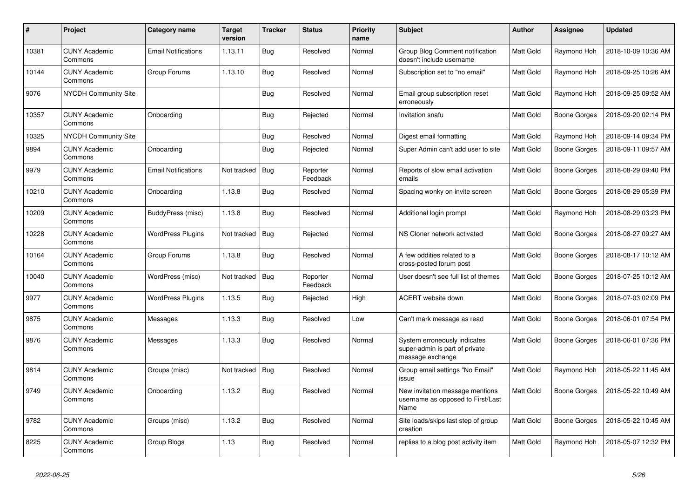| $\#$  | Project                         | Category name              | <b>Target</b><br>version | <b>Tracker</b> | <b>Status</b>        | <b>Priority</b><br>name | <b>Subject</b>                                                                     | <b>Author</b>    | Assignee     | <b>Updated</b>      |
|-------|---------------------------------|----------------------------|--------------------------|----------------|----------------------|-------------------------|------------------------------------------------------------------------------------|------------------|--------------|---------------------|
| 10381 | <b>CUNY Academic</b><br>Commons | <b>Email Notifications</b> | 1.13.11                  | Bug            | Resolved             | Normal                  | Group Blog Comment notification<br>doesn't include username                        | <b>Matt Gold</b> | Raymond Hoh  | 2018-10-09 10:36 AM |
| 10144 | <b>CUNY Academic</b><br>Commons | Group Forums               | 1.13.10                  | Bug            | Resolved             | Normal                  | Subscription set to "no email"                                                     | Matt Gold        | Raymond Hoh  | 2018-09-25 10:26 AM |
| 9076  | <b>NYCDH Community Site</b>     |                            |                          | <b>Bug</b>     | Resolved             | Normal                  | Email group subscription reset<br>erroneously                                      | Matt Gold        | Raymond Hoh  | 2018-09-25 09:52 AM |
| 10357 | <b>CUNY Academic</b><br>Commons | Onboarding                 |                          | <b>Bug</b>     | Rejected             | Normal                  | Invitation snafu                                                                   | Matt Gold        | Boone Gorges | 2018-09-20 02:14 PM |
| 10325 | <b>NYCDH Community Site</b>     |                            |                          | Bug            | Resolved             | Normal                  | Digest email formatting                                                            | Matt Gold        | Raymond Hoh  | 2018-09-14 09:34 PM |
| 9894  | <b>CUNY Academic</b><br>Commons | Onboarding                 |                          | Bug            | Rejected             | Normal                  | Super Admin can't add user to site                                                 | <b>Matt Gold</b> | Boone Gorges | 2018-09-11 09:57 AM |
| 9979  | <b>CUNY Academic</b><br>Commons | <b>Email Notifications</b> | Not tracked              | <b>Bug</b>     | Reporter<br>Feedback | Normal                  | Reports of slow email activation<br>emails                                         | Matt Gold        | Boone Gorges | 2018-08-29 09:40 PM |
| 10210 | <b>CUNY Academic</b><br>Commons | Onboarding                 | 1.13.8                   | Bug            | Resolved             | Normal                  | Spacing wonky on invite screen                                                     | Matt Gold        | Boone Gorges | 2018-08-29 05:39 PM |
| 10209 | <b>CUNY Academic</b><br>Commons | BuddyPress (misc)          | 1.13.8                   | Bug            | Resolved             | Normal                  | Additional login prompt                                                            | Matt Gold        | Raymond Hoh  | 2018-08-29 03:23 PM |
| 10228 | <b>CUNY Academic</b><br>Commons | <b>WordPress Plugins</b>   | Not tracked              | <b>Bug</b>     | Rejected             | Normal                  | NS Cloner network activated                                                        | Matt Gold        | Boone Gorges | 2018-08-27 09:27 AM |
| 10164 | <b>CUNY Academic</b><br>Commons | Group Forums               | 1.13.8                   | Bug            | Resolved             | Normal                  | A few oddities related to a<br>cross-posted forum post                             | <b>Matt Gold</b> | Boone Gorges | 2018-08-17 10:12 AM |
| 10040 | <b>CUNY Academic</b><br>Commons | WordPress (misc)           | Not tracked              | <b>Bug</b>     | Reporter<br>Feedback | Normal                  | User doesn't see full list of themes                                               | Matt Gold        | Boone Gorges | 2018-07-25 10:12 AM |
| 9977  | <b>CUNY Academic</b><br>Commons | <b>WordPress Plugins</b>   | 1.13.5                   | <b>Bug</b>     | Rejected             | High                    | <b>ACERT</b> website down                                                          | Matt Gold        | Boone Gorges | 2018-07-03 02:09 PM |
| 9875  | <b>CUNY Academic</b><br>Commons | Messages                   | 1.13.3                   | Bug            | Resolved             | Low                     | Can't mark message as read                                                         | Matt Gold        | Boone Gorges | 2018-06-01 07:54 PM |
| 9876  | <b>CUNY Academic</b><br>Commons | Messages                   | 1.13.3                   | <b>Bug</b>     | Resolved             | Normal                  | System erroneously indicates<br>super-admin is part of private<br>message exchange | Matt Gold        | Boone Gorges | 2018-06-01 07:36 PM |
| 9814  | <b>CUNY Academic</b><br>Commons | Groups (misc)              | Not tracked              | Bug            | Resolved             | Normal                  | Group email settings "No Email"<br>issue                                           | Matt Gold        | Raymond Hoh  | 2018-05-22 11:45 AM |
| 9749  | <b>CUNY Academic</b><br>Commons | Onboarding                 | 1.13.2                   | Bug            | Resolved             | Normal                  | New invitation message mentions<br>username as opposed to First/Last<br>Name       | Matt Gold        | Boone Gorges | 2018-05-22 10:49 AM |
| 9782  | <b>CUNY Academic</b><br>Commons | Groups (misc)              | 1.13.2                   | <b>Bug</b>     | Resolved             | Normal                  | Site loads/skips last step of group<br>creation                                    | <b>Matt Gold</b> | Boone Gorges | 2018-05-22 10:45 AM |
| 8225  | <b>CUNY Academic</b><br>Commons | Group Blogs                | 1.13                     | Bug            | Resolved             | Normal                  | replies to a blog post activity item                                               | Matt Gold        | Raymond Hoh  | 2018-05-07 12:32 PM |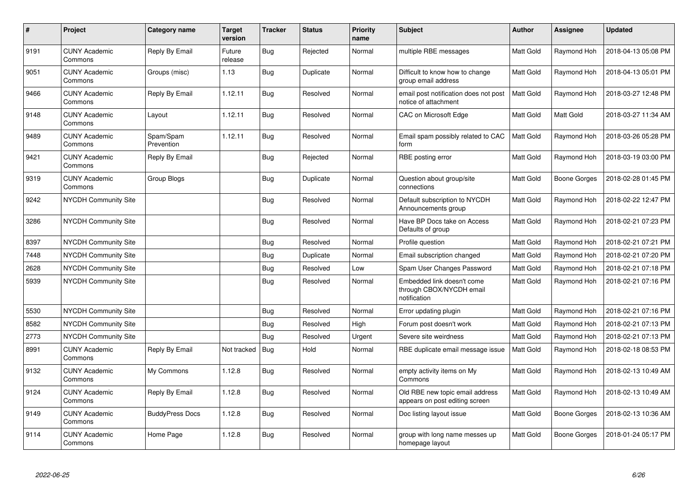| $\pmb{\#}$ | Project                         | Category name           | <b>Target</b><br>version | <b>Tracker</b> | <b>Status</b> | <b>Priority</b><br>name | <b>Subject</b>                                                         | <b>Author</b>    | Assignee            | <b>Updated</b>      |
|------------|---------------------------------|-------------------------|--------------------------|----------------|---------------|-------------------------|------------------------------------------------------------------------|------------------|---------------------|---------------------|
| 9191       | <b>CUNY Academic</b><br>Commons | Reply By Email          | Future<br>release        | <b>Bug</b>     | Rejected      | Normal                  | multiple RBE messages                                                  | Matt Gold        | Raymond Hoh         | 2018-04-13 05:08 PM |
| 9051       | <b>CUNY Academic</b><br>Commons | Groups (misc)           | 1.13                     | <b>Bug</b>     | Duplicate     | Normal                  | Difficult to know how to change<br>group email address                 | Matt Gold        | Raymond Hoh         | 2018-04-13 05:01 PM |
| 9466       | <b>CUNY Academic</b><br>Commons | Reply By Email          | 1.12.11                  | Bug            | Resolved      | Normal                  | email post notification does not post<br>notice of attachment          | Matt Gold        | Raymond Hoh         | 2018-03-27 12:48 PM |
| 9148       | <b>CUNY Academic</b><br>Commons | Layout                  | 1.12.11                  | <b>Bug</b>     | Resolved      | Normal                  | CAC on Microsoft Edge                                                  | Matt Gold        | Matt Gold           | 2018-03-27 11:34 AM |
| 9489       | <b>CUNY Academic</b><br>Commons | Spam/Spam<br>Prevention | 1.12.11                  | <b>Bug</b>     | Resolved      | Normal                  | Email spam possibly related to CAC<br>form                             | <b>Matt Gold</b> | Raymond Hoh         | 2018-03-26 05:28 PM |
| 9421       | <b>CUNY Academic</b><br>Commons | Reply By Email          |                          | <b>Bug</b>     | Rejected      | Normal                  | RBE posting error                                                      | Matt Gold        | Raymond Hoh         | 2018-03-19 03:00 PM |
| 9319       | <b>CUNY Academic</b><br>Commons | Group Blogs             |                          | <b>Bug</b>     | Duplicate     | Normal                  | Question about group/site<br>connections                               | Matt Gold        | Boone Gorges        | 2018-02-28 01:45 PM |
| 9242       | <b>NYCDH Community Site</b>     |                         |                          | Bug            | Resolved      | Normal                  | Default subscription to NYCDH<br>Announcements group                   | Matt Gold        | Raymond Hoh         | 2018-02-22 12:47 PM |
| 3286       | <b>NYCDH Community Site</b>     |                         |                          | Bug            | Resolved      | Normal                  | Have BP Docs take on Access<br>Defaults of group                       | Matt Gold        | Raymond Hoh         | 2018-02-21 07:23 PM |
| 8397       | <b>NYCDH Community Site</b>     |                         |                          | <b>Bug</b>     | Resolved      | Normal                  | Profile question                                                       | Matt Gold        | Raymond Hoh         | 2018-02-21 07:21 PM |
| 7448       | <b>NYCDH Community Site</b>     |                         |                          | <b>Bug</b>     | Duplicate     | Normal                  | Email subscription changed                                             | Matt Gold        | Raymond Hoh         | 2018-02-21 07:20 PM |
| 2628       | <b>NYCDH Community Site</b>     |                         |                          | <b>Bug</b>     | Resolved      | Low                     | Spam User Changes Password                                             | Matt Gold        | Raymond Hoh         | 2018-02-21 07:18 PM |
| 5939       | NYCDH Community Site            |                         |                          | <b>Bug</b>     | Resolved      | Normal                  | Embedded link doesn't come<br>through CBOX/NYCDH email<br>notification | Matt Gold        | Raymond Hoh         | 2018-02-21 07:16 PM |
| 5530       | <b>NYCDH Community Site</b>     |                         |                          | <b>Bug</b>     | Resolved      | Normal                  | Error updating plugin                                                  | Matt Gold        | Raymond Hoh         | 2018-02-21 07:16 PM |
| 8582       | NYCDH Community Site            |                         |                          | Bug            | Resolved      | High                    | Forum post doesn't work                                                | Matt Gold        | Raymond Hoh         | 2018-02-21 07:13 PM |
| 2773       | <b>NYCDH Community Site</b>     |                         |                          | Bug            | Resolved      | Urgent                  | Severe site weirdness                                                  | Matt Gold        | Raymond Hoh         | 2018-02-21 07:13 PM |
| 8991       | <b>CUNY Academic</b><br>Commons | Reply By Email          | Not tracked              | Bug            | Hold          | Normal                  | RBE duplicate email message issue                                      | Matt Gold        | Raymond Hoh         | 2018-02-18 08:53 PM |
| 9132       | <b>CUNY Academic</b><br>Commons | My Commons              | 1.12.8                   | Bug            | Resolved      | Normal                  | empty activity items on My<br>Commons                                  | Matt Gold        | Raymond Hoh         | 2018-02-13 10:49 AM |
| 9124       | <b>CUNY Academic</b><br>Commons | Reply By Email          | 1.12.8                   | <b>Bug</b>     | Resolved      | Normal                  | Old RBE new topic email address<br>appears on post editing screen      | Matt Gold        | Raymond Hoh         | 2018-02-13 10:49 AM |
| 9149       | <b>CUNY Academic</b><br>Commons | <b>BuddyPress Docs</b>  | 1.12.8                   | <b>Bug</b>     | Resolved      | Normal                  | Doc listing layout issue                                               | Matt Gold        | <b>Boone Gorges</b> | 2018-02-13 10:36 AM |
| 9114       | <b>CUNY Academic</b><br>Commons | Home Page               | 1.12.8                   | <b>Bug</b>     | Resolved      | Normal                  | group with long name messes up<br>homepage layout                      | Matt Gold        | Boone Gorges        | 2018-01-24 05:17 PM |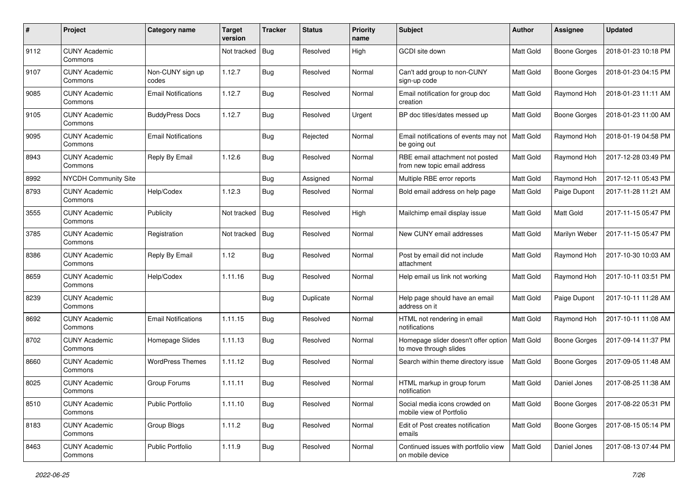| #    | Project                         | Category name              | <b>Target</b><br>version | <b>Tracker</b> | <b>Status</b> | <b>Priority</b><br>name | Subject                                                         | <b>Author</b>    | <b>Assignee</b>     | <b>Updated</b>      |
|------|---------------------------------|----------------------------|--------------------------|----------------|---------------|-------------------------|-----------------------------------------------------------------|------------------|---------------------|---------------------|
| 9112 | <b>CUNY Academic</b><br>Commons |                            | Not tracked              | <b>Bug</b>     | Resolved      | High                    | GCDI site down                                                  | Matt Gold        | Boone Gorges        | 2018-01-23 10:18 PM |
| 9107 | <b>CUNY Academic</b><br>Commons | Non-CUNY sign up<br>codes  | 1.12.7                   | Bug            | Resolved      | Normal                  | Can't add group to non-CUNY<br>sign-up code                     | Matt Gold        | <b>Boone Gorges</b> | 2018-01-23 04:15 PM |
| 9085 | <b>CUNY Academic</b><br>Commons | <b>Email Notifications</b> | 1.12.7                   | <b>Bug</b>     | Resolved      | Normal                  | Email notification for group doc<br>creation                    | Matt Gold        | Raymond Hoh         | 2018-01-23 11:11 AM |
| 9105 | <b>CUNY Academic</b><br>Commons | <b>BuddyPress Docs</b>     | 1.12.7                   | Bug            | Resolved      | Urgent                  | BP doc titles/dates messed up                                   | <b>Matt Gold</b> | <b>Boone Gorges</b> | 2018-01-23 11:00 AM |
| 9095 | <b>CUNY Academic</b><br>Commons | <b>Email Notifications</b> |                          | <b>Bug</b>     | Rejected      | Normal                  | Email notifications of events may not<br>be going out           | Matt Gold        | Raymond Hoh         | 2018-01-19 04:58 PM |
| 8943 | <b>CUNY Academic</b><br>Commons | Reply By Email             | 1.12.6                   | Bug            | Resolved      | Normal                  | RBE email attachment not posted<br>from new topic email address | Matt Gold        | Raymond Hoh         | 2017-12-28 03:49 PM |
| 8992 | <b>NYCDH Community Site</b>     |                            |                          | Bug            | Assigned      | Normal                  | Multiple RBE error reports                                      | Matt Gold        | Raymond Hoh         | 2017-12-11 05:43 PM |
| 8793 | <b>CUNY Academic</b><br>Commons | Help/Codex                 | 1.12.3                   | <b>Bug</b>     | Resolved      | Normal                  | Bold email address on help page                                 | <b>Matt Gold</b> | Paige Dupont        | 2017-11-28 11:21 AM |
| 3555 | <b>CUNY Academic</b><br>Commons | Publicity                  | Not tracked              | Bug            | Resolved      | High                    | Mailchimp email display issue                                   | <b>Matt Gold</b> | <b>Matt Gold</b>    | 2017-11-15 05:47 PM |
| 3785 | <b>CUNY Academic</b><br>Commons | Registration               | Not tracked              | Bug            | Resolved      | Normal                  | New CUNY email addresses                                        | <b>Matt Gold</b> | Marilyn Weber       | 2017-11-15 05:47 PM |
| 8386 | <b>CUNY Academic</b><br>Commons | Reply By Email             | 1.12                     | Bug            | Resolved      | Normal                  | Post by email did not include<br>attachment                     | <b>Matt Gold</b> | Raymond Hoh         | 2017-10-30 10:03 AM |
| 8659 | <b>CUNY Academic</b><br>Commons | Help/Codex                 | 1.11.16                  | Bug            | Resolved      | Normal                  | Help email us link not working                                  | Matt Gold        | Raymond Hoh         | 2017-10-11 03:51 PM |
| 8239 | <b>CUNY Academic</b><br>Commons |                            |                          | Bug            | Duplicate     | Normal                  | Help page should have an email<br>address on it                 | Matt Gold        | Paige Dupont        | 2017-10-11 11:28 AM |
| 8692 | <b>CUNY Academic</b><br>Commons | <b>Email Notifications</b> | 1.11.15                  | Bug            | Resolved      | Normal                  | HTML not rendering in email<br>notifications                    | Matt Gold        | Raymond Hoh         | 2017-10-11 11:08 AM |
| 8702 | <b>CUNY Academic</b><br>Commons | Homepage Slides            | 1.11.13                  | Bug            | Resolved      | Normal                  | Homepage slider doesn't offer option<br>to move through slides  | Matt Gold        | <b>Boone Gorges</b> | 2017-09-14 11:37 PM |
| 8660 | <b>CUNY Academic</b><br>Commons | <b>WordPress Themes</b>    | 1.11.12                  | <b>Bug</b>     | Resolved      | Normal                  | Search within theme directory issue                             | Matt Gold        | Boone Gorges        | 2017-09-05 11:48 AM |
| 8025 | <b>CUNY Academic</b><br>Commons | Group Forums               | 1.11.11                  | Bug            | Resolved      | Normal                  | HTML markup in group forum<br>notification                      | Matt Gold        | Daniel Jones        | 2017-08-25 11:38 AM |
| 8510 | <b>CUNY Academic</b><br>Commons | <b>Public Portfolio</b>    | 1.11.10                  | <b>Bug</b>     | Resolved      | Normal                  | Social media icons crowded on<br>mobile view of Portfolio       | Matt Gold        | <b>Boone Gorges</b> | 2017-08-22 05:31 PM |
| 8183 | <b>CUNY Academic</b><br>Commons | Group Blogs                | 1.11.2                   | Bug            | Resolved      | Normal                  | Edit of Post creates notification<br>emails                     | Matt Gold        | <b>Boone Gorges</b> | 2017-08-15 05:14 PM |
| 8463 | <b>CUNY Academic</b><br>Commons | Public Portfolio           | 1.11.9                   | Bug            | Resolved      | Normal                  | Continued issues with portfolio view<br>on mobile device        | <b>Matt Gold</b> | Daniel Jones        | 2017-08-13 07:44 PM |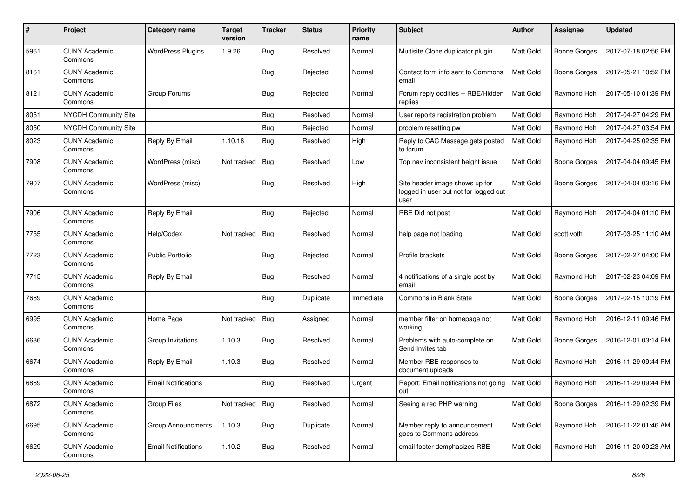| #    | Project                         | <b>Category name</b>       | <b>Target</b><br>version | <b>Tracker</b> | <b>Status</b> | <b>Priority</b><br>name | <b>Subject</b>                                                                  | Author           | <b>Assignee</b>     | <b>Updated</b>      |
|------|---------------------------------|----------------------------|--------------------------|----------------|---------------|-------------------------|---------------------------------------------------------------------------------|------------------|---------------------|---------------------|
| 5961 | <b>CUNY Academic</b><br>Commons | <b>WordPress Plugins</b>   | 1.9.26                   | Bug            | Resolved      | Normal                  | Multisite Clone duplicator plugin                                               | Matt Gold        | <b>Boone Gorges</b> | 2017-07-18 02:56 PM |
| 8161 | <b>CUNY Academic</b><br>Commons |                            |                          | Bug            | Rejected      | Normal                  | Contact form info sent to Commons<br>email                                      | Matt Gold        | <b>Boone Gorges</b> | 2017-05-21 10:52 PM |
| 8121 | <b>CUNY Academic</b><br>Commons | Group Forums               |                          | Bug            | Rejected      | Normal                  | Forum reply oddities -- RBE/Hidden<br>replies                                   | Matt Gold        | Raymond Hoh         | 2017-05-10 01:39 PM |
| 8051 | NYCDH Community Site            |                            |                          | Bug            | Resolved      | Normal                  | User reports registration problem                                               | Matt Gold        | Raymond Hoh         | 2017-04-27 04:29 PM |
| 8050 | <b>NYCDH Community Site</b>     |                            |                          | <b>Bug</b>     | Rejected      | Normal                  | problem resetting pw                                                            | Matt Gold        | Raymond Hoh         | 2017-04-27 03:54 PM |
| 8023 | <b>CUNY Academic</b><br>Commons | Reply By Email             | 1.10.18                  | <b>Bug</b>     | Resolved      | High                    | Reply to CAC Message gets posted<br>to forum                                    | Matt Gold        | Raymond Hoh         | 2017-04-25 02:35 PM |
| 7908 | <b>CUNY Academic</b><br>Commons | WordPress (misc)           | Not tracked              | Bug            | Resolved      | Low                     | Top nav inconsistent height issue                                               | Matt Gold        | Boone Gorges        | 2017-04-04 09:45 PM |
| 7907 | <b>CUNY Academic</b><br>Commons | WordPress (misc)           |                          | Bug            | Resolved      | High                    | Site header image shows up for<br>logged in user but not for logged out<br>user | Matt Gold        | <b>Boone Gorges</b> | 2017-04-04 03:16 PM |
| 7906 | <b>CUNY Academic</b><br>Commons | Reply By Email             |                          | Bug            | Rejected      | Normal                  | RBE Did not post                                                                | Matt Gold        | Raymond Hoh         | 2017-04-04 01:10 PM |
| 7755 | <b>CUNY Academic</b><br>Commons | Help/Codex                 | Not tracked              | Bug            | Resolved      | Normal                  | help page not loading                                                           | Matt Gold        | scott voth          | 2017-03-25 11:10 AM |
| 7723 | <b>CUNY Academic</b><br>Commons | <b>Public Portfolio</b>    |                          | Bug            | Rejected      | Normal                  | Profile brackets                                                                | Matt Gold        | <b>Boone Gorges</b> | 2017-02-27 04:00 PM |
| 7715 | <b>CUNY Academic</b><br>Commons | Reply By Email             |                          | <b>Bug</b>     | Resolved      | Normal                  | 4 notifications of a single post by<br>email                                    | Matt Gold        | Raymond Hoh         | 2017-02-23 04:09 PM |
| 7689 | <b>CUNY Academic</b><br>Commons |                            |                          | Bug            | Duplicate     | Immediate               | <b>Commons in Blank State</b>                                                   | Matt Gold        | <b>Boone Gorges</b> | 2017-02-15 10:19 PM |
| 6995 | <b>CUNY Academic</b><br>Commons | Home Page                  | Not tracked              | Bug            | Assigned      | Normal                  | member filter on homepage not<br>working                                        | Matt Gold        | Raymond Hoh         | 2016-12-11 09:46 PM |
| 6686 | <b>CUNY Academic</b><br>Commons | Group Invitations          | 1.10.3                   | <b>Bug</b>     | Resolved      | Normal                  | Problems with auto-complete on<br>Send Invites tab                              | Matt Gold        | <b>Boone Gorges</b> | 2016-12-01 03:14 PM |
| 6674 | CUNY Academic<br>Commons        | Reply By Email             | 1.10.3                   | <b>Bug</b>     | Resolved      | Normal                  | Member RBE responses to<br>document uploads                                     | Matt Gold        | Raymond Hoh         | 2016-11-29 09:44 PM |
| 6869 | <b>CUNY Academic</b><br>Commons | <b>Email Notifications</b> |                          | Bug            | Resolved      | Urgent                  | Report: Email notifications not going<br>out                                    | <b>Matt Gold</b> | Raymond Hoh         | 2016-11-29 09:44 PM |
| 6872 | <b>CUNY Academic</b><br>Commons | Group Files                | Not tracked   Bug        |                | Resolved      | Normal                  | Seeing a red PHP warning                                                        | Matt Gold        | <b>Boone Gorges</b> | 2016-11-29 02:39 PM |
| 6695 | <b>CUNY Academic</b><br>Commons | <b>Group Announcments</b>  | 1.10.3                   | Bug            | Duplicate     | Normal                  | Member reply to announcement<br>goes to Commons address                         | Matt Gold        | Raymond Hoh         | 2016-11-22 01:46 AM |
| 6629 | <b>CUNY Academic</b><br>Commons | <b>Email Notifications</b> | 1.10.2                   | Bug            | Resolved      | Normal                  | email footer demphasizes RBE                                                    | Matt Gold        | Raymond Hoh         | 2016-11-20 09:23 AM |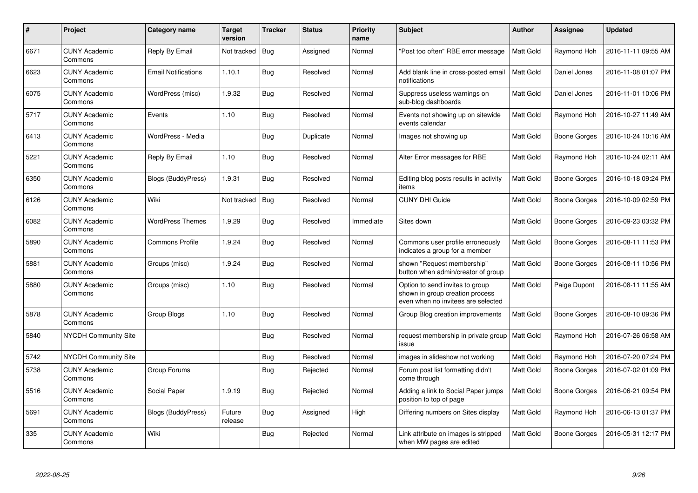| $\#$ | <b>Project</b>                  | Category name              | <b>Target</b><br>version | <b>Tracker</b> | <b>Status</b> | <b>Priority</b><br>name | Subject                                                                                                  | <b>Author</b>    | Assignee     | <b>Updated</b>      |
|------|---------------------------------|----------------------------|--------------------------|----------------|---------------|-------------------------|----------------------------------------------------------------------------------------------------------|------------------|--------------|---------------------|
| 6671 | <b>CUNY Academic</b><br>Commons | Reply By Email             | Not tracked              | Bug            | Assigned      | Normal                  | 'Post too often" RBE error message                                                                       | <b>Matt Gold</b> | Raymond Hoh  | 2016-11-11 09:55 AM |
| 6623 | <b>CUNY Academic</b><br>Commons | <b>Email Notifications</b> | 1.10.1                   | <b>Bug</b>     | Resolved      | Normal                  | Add blank line in cross-posted email<br>notifications                                                    | <b>Matt Gold</b> | Daniel Jones | 2016-11-08 01:07 PM |
| 6075 | <b>CUNY Academic</b><br>Commons | WordPress (misc)           | 1.9.32                   | Bug            | Resolved      | Normal                  | Suppress useless warnings on<br>sub-blog dashboards                                                      | Matt Gold        | Daniel Jones | 2016-11-01 10:06 PM |
| 5717 | <b>CUNY Academic</b><br>Commons | Events                     | 1.10                     | Bug            | Resolved      | Normal                  | Events not showing up on sitewide<br>events calendar                                                     | Matt Gold        | Raymond Hoh  | 2016-10-27 11:49 AM |
| 6413 | <b>CUNY Academic</b><br>Commons | WordPress - Media          |                          | Bug            | Duplicate     | Normal                  | Images not showing up                                                                                    | Matt Gold        | Boone Gorges | 2016-10-24 10:16 AM |
| 5221 | <b>CUNY Academic</b><br>Commons | Reply By Email             | 1.10                     | Bug            | Resolved      | Normal                  | Alter Error messages for RBE                                                                             | Matt Gold        | Raymond Hoh  | 2016-10-24 02:11 AM |
| 6350 | <b>CUNY Academic</b><br>Commons | <b>Blogs (BuddyPress)</b>  | 1.9.31                   | Bug            | Resolved      | Normal                  | Editing blog posts results in activity<br>items                                                          | Matt Gold        | Boone Gorges | 2016-10-18 09:24 PM |
| 6126 | <b>CUNY Academic</b><br>Commons | Wiki                       | Not tracked              | Bug            | Resolved      | Normal                  | <b>CUNY DHI Guide</b>                                                                                    | Matt Gold        | Boone Gorges | 2016-10-09 02:59 PM |
| 6082 | <b>CUNY Academic</b><br>Commons | <b>WordPress Themes</b>    | 1.9.29                   | Bug            | Resolved      | Immediate               | Sites down                                                                                               | Matt Gold        | Boone Gorges | 2016-09-23 03:32 PM |
| 5890 | <b>CUNY Academic</b><br>Commons | Commons Profile            | 1.9.24                   | <b>Bug</b>     | Resolved      | Normal                  | Commons user profile erroneously<br>indicates a group for a member                                       | Matt Gold        | Boone Gorges | 2016-08-11 11:53 PM |
| 5881 | <b>CUNY Academic</b><br>Commons | Groups (misc)              | 1.9.24                   | Bug            | Resolved      | Normal                  | shown "Request membership"<br>button when admin/creator of group                                         | Matt Gold        | Boone Gorges | 2016-08-11 10:56 PM |
| 5880 | <b>CUNY Academic</b><br>Commons | Groups (misc)              | 1.10                     | Bug            | Resolved      | Normal                  | Option to send invites to group<br>shown in group creation process<br>even when no invitees are selected | Matt Gold        | Paige Dupont | 2016-08-11 11:55 AM |
| 5878 | <b>CUNY Academic</b><br>Commons | Group Blogs                | 1.10                     | Bug            | Resolved      | Normal                  | Group Blog creation improvements                                                                         | Matt Gold        | Boone Gorges | 2016-08-10 09:36 PM |
| 5840 | <b>NYCDH Community Site</b>     |                            |                          | Bug            | Resolved      | Normal                  | request membership in private group<br>issue                                                             | <b>Matt Gold</b> | Raymond Hoh  | 2016-07-26 06:58 AM |
| 5742 | <b>NYCDH Community Site</b>     |                            |                          | <b>Bug</b>     | Resolved      | Normal                  | images in slideshow not working                                                                          | Matt Gold        | Raymond Hoh  | 2016-07-20 07:24 PM |
| 5738 | <b>CUNY Academic</b><br>Commons | Group Forums               |                          | Bug            | Rejected      | Normal                  | Forum post list formatting didn't<br>come through                                                        | Matt Gold        | Boone Gorges | 2016-07-02 01:09 PM |
| 5516 | <b>CUNY Academic</b><br>Commons | Social Paper               | 1.9.19                   | <b>Bug</b>     | Rejected      | Normal                  | Adding a link to Social Paper jumps<br>position to top of page                                           | <b>Matt Gold</b> | Boone Gorges | 2016-06-21 09:54 PM |
| 5691 | <b>CUNY Academic</b><br>Commons | Blogs (BuddyPress)         | Future<br>release        | Bug            | Assigned      | High                    | Differing numbers on Sites display                                                                       | Matt Gold        | Raymond Hoh  | 2016-06-13 01:37 PM |
| 335  | <b>CUNY Academic</b><br>Commons | Wiki                       |                          | Bug            | Rejected      | Normal                  | Link attribute on images is stripped<br>when MW pages are edited                                         | Matt Gold        | Boone Gorges | 2016-05-31 12:17 PM |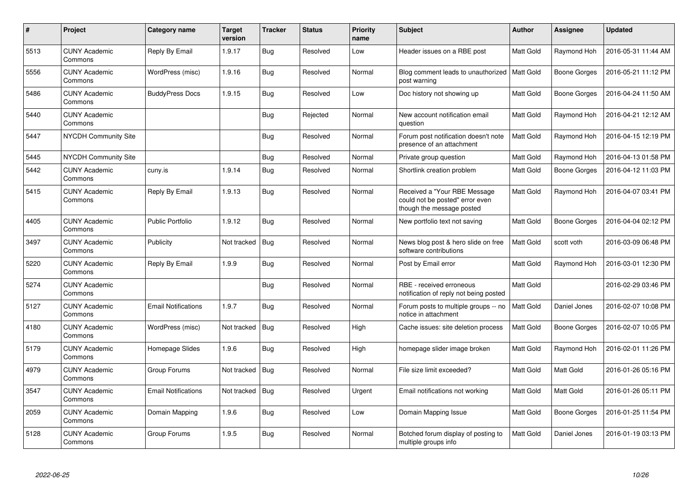| $\#$ | Project                         | Category name              | <b>Target</b><br>version | <b>Tracker</b> | <b>Status</b> | <b>Priority</b><br>name | Subject                                                                                      | <b>Author</b>    | Assignee            | <b>Updated</b>      |
|------|---------------------------------|----------------------------|--------------------------|----------------|---------------|-------------------------|----------------------------------------------------------------------------------------------|------------------|---------------------|---------------------|
| 5513 | <b>CUNY Academic</b><br>Commons | Reply By Email             | 1.9.17                   | Bug            | Resolved      | Low                     | Header issues on a RBE post                                                                  | Matt Gold        | Raymond Hoh         | 2016-05-31 11:44 AM |
| 5556 | <b>CUNY Academic</b><br>Commons | WordPress (misc)           | 1.9.16                   | Bug            | Resolved      | Normal                  | Blog comment leads to unauthorized<br>post warning                                           | Matt Gold        | Boone Gorges        | 2016-05-21 11:12 PM |
| 5486 | <b>CUNY Academic</b><br>Commons | <b>BuddyPress Docs</b>     | 1.9.15                   | <b>Bug</b>     | Resolved      | Low                     | Doc history not showing up                                                                   | Matt Gold        | <b>Boone Gorges</b> | 2016-04-24 11:50 AM |
| 5440 | <b>CUNY Academic</b><br>Commons |                            |                          | Bug            | Rejected      | Normal                  | New account notification email<br>question                                                   | Matt Gold        | Raymond Hoh         | 2016-04-21 12:12 AM |
| 5447 | <b>NYCDH Community Site</b>     |                            |                          | Bug            | Resolved      | Normal                  | Forum post notification doesn't note<br>presence of an attachment                            | <b>Matt Gold</b> | Raymond Hoh         | 2016-04-15 12:19 PM |
| 5445 | <b>NYCDH Community Site</b>     |                            |                          | Bug            | Resolved      | Normal                  | Private group question                                                                       | Matt Gold        | Raymond Hoh         | 2016-04-13 01:58 PM |
| 5442 | <b>CUNY Academic</b><br>Commons | cuny.is                    | 1.9.14                   | Bug            | Resolved      | Normal                  | Shortlink creation problem                                                                   | Matt Gold        | Boone Gorges        | 2016-04-12 11:03 PM |
| 5415 | <b>CUNY Academic</b><br>Commons | Reply By Email             | 1.9.13                   | Bug            | Resolved      | Normal                  | Received a "Your RBE Message<br>could not be posted" error even<br>though the message posted | Matt Gold        | Raymond Hoh         | 2016-04-07 03:41 PM |
| 4405 | <b>CUNY Academic</b><br>Commons | <b>Public Portfolio</b>    | 1.9.12                   | Bug            | Resolved      | Normal                  | New portfolio text not saving                                                                | Matt Gold        | Boone Gorges        | 2016-04-04 02:12 PM |
| 3497 | <b>CUNY Academic</b><br>Commons | Publicity                  | Not tracked              | Bug            | Resolved      | Normal                  | News blog post & hero slide on free<br>software contributions                                | <b>Matt Gold</b> | scott voth          | 2016-03-09 06:48 PM |
| 5220 | <b>CUNY Academic</b><br>Commons | Reply By Email             | 1.9.9                    | Bug            | Resolved      | Normal                  | Post by Email error                                                                          | Matt Gold        | Raymond Hoh         | 2016-03-01 12:30 PM |
| 5274 | <b>CUNY Academic</b><br>Commons |                            |                          | Bug            | Resolved      | Normal                  | RBE - received erroneous<br>notification of reply not being posted                           | <b>Matt Gold</b> |                     | 2016-02-29 03:46 PM |
| 5127 | <b>CUNY Academic</b><br>Commons | <b>Email Notifications</b> | 1.9.7                    | Bug            | Resolved      | Normal                  | Forum posts to multiple groups -- no<br>notice in attachment                                 | Matt Gold        | Daniel Jones        | 2016-02-07 10:08 PM |
| 4180 | <b>CUNY Academic</b><br>Commons | WordPress (misc)           | Not tracked              | <b>Bug</b>     | Resolved      | High                    | Cache issues: site deletion process                                                          | Matt Gold        | Boone Gorges        | 2016-02-07 10:05 PM |
| 5179 | <b>CUNY Academic</b><br>Commons | Homepage Slides            | 1.9.6                    | Bug            | Resolved      | High                    | homepage slider image broken                                                                 | Matt Gold        | Raymond Hoh         | 2016-02-01 11:26 PM |
| 4979 | <b>CUNY Academic</b><br>Commons | Group Forums               | Not tracked              | <b>Bug</b>     | Resolved      | Normal                  | File size limit exceeded?                                                                    | Matt Gold        | <b>Matt Gold</b>    | 2016-01-26 05:16 PM |
| 3547 | <b>CUNY Academic</b><br>Commons | <b>Email Notifications</b> | Not tracked              | Bug            | Resolved      | Urgent                  | Email notifications not working                                                              | Matt Gold        | Matt Gold           | 2016-01-26 05:11 PM |
| 2059 | <b>CUNY Academic</b><br>Commons | Domain Mapping             | 1.9.6                    | Bug            | Resolved      | Low                     | Domain Mapping Issue                                                                         | Matt Gold        | Boone Gorges        | 2016-01-25 11:54 PM |
| 5128 | <b>CUNY Academic</b><br>Commons | Group Forums               | 1.9.5                    | Bug            | Resolved      | Normal                  | Botched forum display of posting to<br>multiple groups info                                  | Matt Gold        | Daniel Jones        | 2016-01-19 03:13 PM |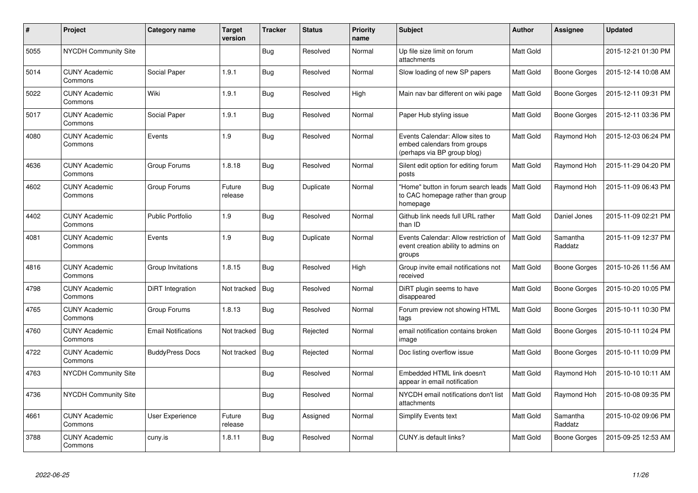| #    | Project                         | Category name              | <b>Target</b><br>version | <b>Tracker</b> | <b>Status</b> | <b>Priority</b><br>name | <b>Subject</b>                                                                                | <b>Author</b>    | Assignee            | <b>Updated</b>      |
|------|---------------------------------|----------------------------|--------------------------|----------------|---------------|-------------------------|-----------------------------------------------------------------------------------------------|------------------|---------------------|---------------------|
| 5055 | <b>NYCDH Community Site</b>     |                            |                          | <b>Bug</b>     | Resolved      | Normal                  | Up file size limit on forum<br>attachments                                                    | <b>Matt Gold</b> |                     | 2015-12-21 01:30 PM |
| 5014 | <b>CUNY Academic</b><br>Commons | Social Paper               | 1.9.1                    | Bug            | Resolved      | Normal                  | Slow loading of new SP papers                                                                 | Matt Gold        | Boone Gorges        | 2015-12-14 10:08 AM |
| 5022 | <b>CUNY Academic</b><br>Commons | Wiki                       | 1.9.1                    | <b>Bug</b>     | Resolved      | High                    | Main nav bar different on wiki page                                                           | Matt Gold        | Boone Gorges        | 2015-12-11 09:31 PM |
| 5017 | <b>CUNY Academic</b><br>Commons | Social Paper               | 1.9.1                    | Bug            | Resolved      | Normal                  | Paper Hub styling issue                                                                       | Matt Gold        | Boone Gorges        | 2015-12-11 03:36 PM |
| 4080 | <b>CUNY Academic</b><br>Commons | Events                     | 1.9                      | Bug            | Resolved      | Normal                  | Events Calendar: Allow sites to<br>embed calendars from groups<br>(perhaps via BP group blog) | Matt Gold        | Raymond Hoh         | 2015-12-03 06:24 PM |
| 4636 | <b>CUNY Academic</b><br>Commons | Group Forums               | 1.8.18                   | Bug            | Resolved      | Normal                  | Silent edit option for editing forum<br>posts                                                 | Matt Gold        | Raymond Hoh         | 2015-11-29 04:20 PM |
| 4602 | <b>CUNY Academic</b><br>Commons | Group Forums               | Future<br>release        | Bug            | Duplicate     | Normal                  | "Home" button in forum search leads<br>to CAC homepage rather than group<br>homepage          | <b>Matt Gold</b> | Raymond Hoh         | 2015-11-09 06:43 PM |
| 4402 | <b>CUNY Academic</b><br>Commons | <b>Public Portfolio</b>    | 1.9                      | <b>Bug</b>     | Resolved      | Normal                  | Github link needs full URL rather<br>than ID                                                  | <b>Matt Gold</b> | Daniel Jones        | 2015-11-09 02:21 PM |
| 4081 | <b>CUNY Academic</b><br>Commons | Events                     | 1.9                      | <b>Bug</b>     | Duplicate     | Normal                  | Events Calendar: Allow restriction of<br>event creation ability to admins on<br>groups        | <b>Matt Gold</b> | Samantha<br>Raddatz | 2015-11-09 12:37 PM |
| 4816 | <b>CUNY Academic</b><br>Commons | Group Invitations          | 1.8.15                   | Bug            | Resolved      | High                    | Group invite email notifications not<br>received                                              | <b>Matt Gold</b> | Boone Gorges        | 2015-10-26 11:56 AM |
| 4798 | <b>CUNY Academic</b><br>Commons | DiRT Integration           | Not tracked              | Bug            | Resolved      | Normal                  | DiRT plugin seems to have<br>disappeared                                                      | Matt Gold        | Boone Gorges        | 2015-10-20 10:05 PM |
| 4765 | <b>CUNY Academic</b><br>Commons | Group Forums               | 1.8.13                   | Bug            | Resolved      | Normal                  | Forum preview not showing HTML<br>tags                                                        | Matt Gold        | Boone Gorges        | 2015-10-11 10:30 PM |
| 4760 | <b>CUNY Academic</b><br>Commons | <b>Email Notifications</b> | Not tracked              | Bug            | Rejected      | Normal                  | email notification contains broken<br>image                                                   | Matt Gold        | Boone Gorges        | 2015-10-11 10:24 PM |
| 4722 | <b>CUNY Academic</b><br>Commons | <b>BuddyPress Docs</b>     | Not tracked              | Bug            | Rejected      | Normal                  | Doc listing overflow issue                                                                    | Matt Gold        | Boone Gorges        | 2015-10-11 10:09 PM |
| 4763 | <b>NYCDH Community Site</b>     |                            |                          | <b>Bug</b>     | Resolved      | Normal                  | Embedded HTML link doesn't<br>appear in email notification                                    | <b>Matt Gold</b> | Raymond Hoh         | 2015-10-10 10:11 AM |
| 4736 | <b>NYCDH Community Site</b>     |                            |                          | <b>Bug</b>     | Resolved      | Normal                  | NYCDH email notifications don't list<br>attachments                                           | Matt Gold        | Raymond Hoh         | 2015-10-08 09:35 PM |
| 4661 | <b>CUNY Academic</b><br>Commons | User Experience            | Future<br>release        | <b>Bug</b>     | Assigned      | Normal                  | <b>Simplify Events text</b>                                                                   | Matt Gold        | Samantha<br>Raddatz | 2015-10-02 09:06 PM |
| 3788 | <b>CUNY Academic</b><br>Commons | cuny.is                    | 1.8.11                   | <b>Bug</b>     | Resolved      | Normal                  | CUNY.is default links?                                                                        | Matt Gold        | Boone Gorges        | 2015-09-25 12:53 AM |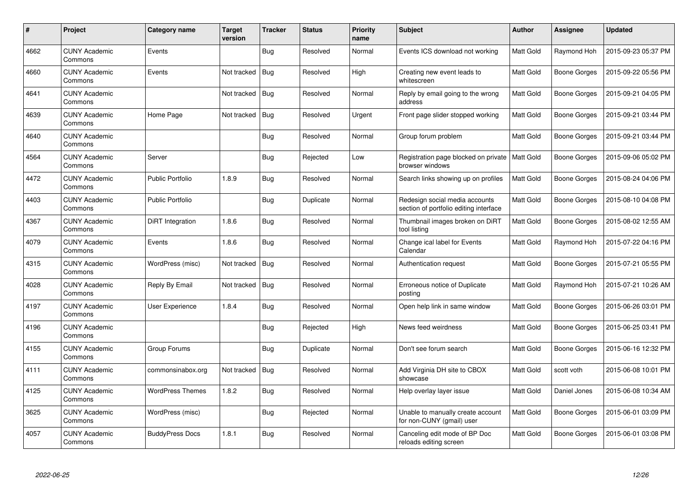| $\#$ | <b>Project</b>                  | Category name           | <b>Target</b><br>version | <b>Tracker</b> | <b>Status</b> | <b>Priority</b><br>name | Subject                                                                  | <b>Author</b>    | Assignee            | <b>Updated</b>      |
|------|---------------------------------|-------------------------|--------------------------|----------------|---------------|-------------------------|--------------------------------------------------------------------------|------------------|---------------------|---------------------|
| 4662 | <b>CUNY Academic</b><br>Commons | Events                  |                          | Bug            | Resolved      | Normal                  | Events ICS download not working                                          | Matt Gold        | Raymond Hoh         | 2015-09-23 05:37 PM |
| 4660 | <b>CUNY Academic</b><br>Commons | Events                  | Not tracked              | Bug            | Resolved      | High                    | Creating new event leads to<br>whitescreen                               | Matt Gold        | Boone Gorges        | 2015-09-22 05:56 PM |
| 4641 | <b>CUNY Academic</b><br>Commons |                         | Not tracked              | Bug            | Resolved      | Normal                  | Reply by email going to the wrong<br>address                             | Matt Gold        | Boone Gorges        | 2015-09-21 04:05 PM |
| 4639 | <b>CUNY Academic</b><br>Commons | Home Page               | Not tracked              | Bug            | Resolved      | Urgent                  | Front page slider stopped working                                        | Matt Gold        | Boone Gorges        | 2015-09-21 03:44 PM |
| 4640 | <b>CUNY Academic</b><br>Commons |                         |                          | Bug            | Resolved      | Normal                  | Group forum problem                                                      | Matt Gold        | <b>Boone Gorges</b> | 2015-09-21 03:44 PM |
| 4564 | <b>CUNY Academic</b><br>Commons | Server                  |                          | Bug            | Rejected      | Low                     | Registration page blocked on private<br>browser windows                  | <b>Matt Gold</b> | Boone Gorges        | 2015-09-06 05:02 PM |
| 4472 | <b>CUNY Academic</b><br>Commons | <b>Public Portfolio</b> | 1.8.9                    | Bug            | Resolved      | Normal                  | Search links showing up on profiles                                      | <b>Matt Gold</b> | <b>Boone Gorges</b> | 2015-08-24 04:06 PM |
| 4403 | <b>CUNY Academic</b><br>Commons | <b>Public Portfolio</b> |                          | Bug            | Duplicate     | Normal                  | Redesign social media accounts<br>section of portfolio editing interface | Matt Gold        | <b>Boone Gorges</b> | 2015-08-10 04:08 PM |
| 4367 | <b>CUNY Academic</b><br>Commons | DiRT Integration        | 1.8.6                    | <b>Bug</b>     | Resolved      | Normal                  | Thumbnail images broken on DiRT<br>tool listing                          | Matt Gold        | Boone Gorges        | 2015-08-02 12:55 AM |
| 4079 | <b>CUNY Academic</b><br>Commons | Events                  | 1.8.6                    | <b>Bug</b>     | Resolved      | Normal                  | Change ical label for Events<br>Calendar                                 | Matt Gold        | Raymond Hoh         | 2015-07-22 04:16 PM |
| 4315 | <b>CUNY Academic</b><br>Commons | WordPress (misc)        | Not tracked              | Bug            | Resolved      | Normal                  | Authentication request                                                   | Matt Gold        | Boone Gorges        | 2015-07-21 05:55 PM |
| 4028 | <b>CUNY Academic</b><br>Commons | Reply By Email          | Not tracked              | Bug            | Resolved      | Normal                  | Erroneous notice of Duplicate<br>posting                                 | Matt Gold        | Raymond Hoh         | 2015-07-21 10:26 AM |
| 4197 | <b>CUNY Academic</b><br>Commons | User Experience         | 1.8.4                    | Bug            | Resolved      | Normal                  | Open help link in same window                                            | Matt Gold        | Boone Gorges        | 2015-06-26 03:01 PM |
| 4196 | <b>CUNY Academic</b><br>Commons |                         |                          | Bug            | Rejected      | High                    | News feed weirdness                                                      | Matt Gold        | Boone Gorges        | 2015-06-25 03:41 PM |
| 4155 | <b>CUNY Academic</b><br>Commons | Group Forums            |                          | Bug            | Duplicate     | Normal                  | Don't see forum search                                                   | Matt Gold        | Boone Gorges        | 2015-06-16 12:32 PM |
| 4111 | <b>CUNY Academic</b><br>Commons | commonsinabox.org       | Not tracked              | Bug            | Resolved      | Normal                  | Add Virginia DH site to CBOX<br>showcase                                 | Matt Gold        | scott voth          | 2015-06-08 10:01 PM |
| 4125 | <b>CUNY Academic</b><br>Commons | <b>WordPress Themes</b> | 1.8.2                    | <b>Bug</b>     | Resolved      | Normal                  | Help overlay layer issue                                                 | Matt Gold        | Daniel Jones        | 2015-06-08 10:34 AM |
| 3625 | <b>CUNY Academic</b><br>Commons | WordPress (misc)        |                          | <b>Bug</b>     | Rejected      | Normal                  | Unable to manually create account<br>for non-CUNY (gmail) user           | Matt Gold        | Boone Gorges        | 2015-06-01 03:09 PM |
| 4057 | <b>CUNY Academic</b><br>Commons | <b>BuddyPress Docs</b>  | 1.8.1                    | Bug            | Resolved      | Normal                  | Canceling edit mode of BP Doc<br>reloads editing screen                  | Matt Gold        | Boone Gorges        | 2015-06-01 03:08 PM |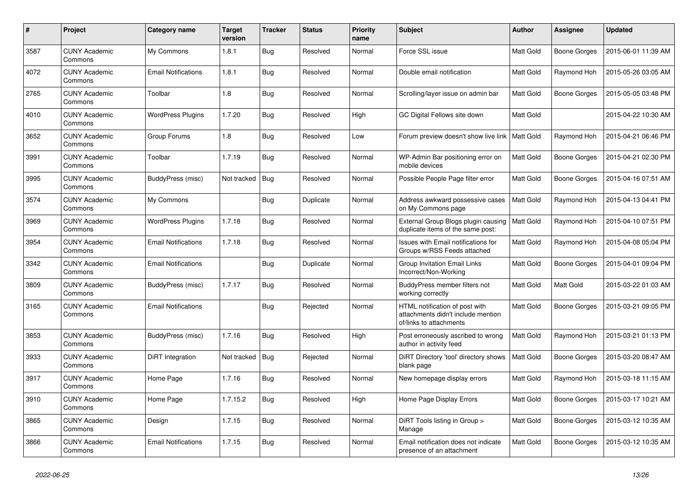| $\pmb{\#}$ | Project                         | Category name              | <b>Target</b><br>version | <b>Tracker</b> | <b>Status</b> | <b>Priority</b><br>name | <b>Subject</b>                                                                                  | <b>Author</b>    | Assignee            | <b>Updated</b>      |
|------------|---------------------------------|----------------------------|--------------------------|----------------|---------------|-------------------------|-------------------------------------------------------------------------------------------------|------------------|---------------------|---------------------|
| 3587       | <b>CUNY Academic</b><br>Commons | My Commons                 | 1.8.1                    | Bug            | Resolved      | Normal                  | Force SSL issue                                                                                 | <b>Matt Gold</b> | Boone Gorges        | 2015-06-01 11:39 AM |
| 4072       | <b>CUNY Academic</b><br>Commons | <b>Email Notifications</b> | 1.8.1                    | Bug            | Resolved      | Normal                  | Double email notification                                                                       | <b>Matt Gold</b> | Raymond Hoh         | 2015-05-26 03:05 AM |
| 2765       | <b>CUNY Academic</b><br>Commons | Toolbar                    | 1.8                      | Bug            | Resolved      | Normal                  | Scrolling/layer issue on admin bar                                                              | Matt Gold        | Boone Gorges        | 2015-05-05 03:48 PM |
| 4010       | <b>CUNY Academic</b><br>Commons | <b>WordPress Plugins</b>   | 1.7.20                   | Bug            | Resolved      | High                    | GC Digital Fellows site down                                                                    | <b>Matt Gold</b> |                     | 2015-04-22 10:30 AM |
| 3652       | <b>CUNY Academic</b><br>Commons | Group Forums               | 1.8                      | <b>Bug</b>     | Resolved      | Low                     | Forum preview doesn't show live link                                                            | <b>Matt Gold</b> | Raymond Hoh         | 2015-04-21 06:46 PM |
| 3991       | <b>CUNY Academic</b><br>Commons | Toolbar                    | 1.7.19                   | Bug            | Resolved      | Normal                  | WP-Admin Bar positioning error on<br>mobile devices                                             | <b>Matt Gold</b> | Boone Gorges        | 2015-04-21 02:30 PM |
| 3995       | <b>CUNY Academic</b><br>Commons | BuddyPress (misc)          | Not tracked              | Bug            | Resolved      | Normal                  | Possible People Page filter error                                                               | Matt Gold        | Boone Gorges        | 2015-04-16 07:51 AM |
| 3574       | <b>CUNY Academic</b><br>Commons | My Commons                 |                          | <b>Bug</b>     | Duplicate     | Normal                  | Address awkward possessive cases<br>on My Commons page                                          | <b>Matt Gold</b> | Raymond Hoh         | 2015-04-13 04:41 PM |
| 3969       | <b>CUNY Academic</b><br>Commons | <b>WordPress Plugins</b>   | 1.7.18                   | Bug            | Resolved      | Normal                  | External Group Blogs plugin causing<br>duplicate items of the same post:                        | <b>Matt Gold</b> | Raymond Hoh         | 2015-04-10 07:51 PM |
| 3954       | <b>CUNY Academic</b><br>Commons | <b>Email Notifications</b> | 1.7.18                   | Bug            | Resolved      | Normal                  | Issues with Email notifications for<br>Groups w/RSS Feeds attached                              | Matt Gold        | Raymond Hoh         | 2015-04-08 05:04 PM |
| 3342       | <b>CUNY Academic</b><br>Commons | <b>Email Notifications</b> |                          | Bug            | Duplicate     | Normal                  | Group Invitation Email Links<br>Incorrect/Non-Working                                           | Matt Gold        | Boone Gorges        | 2015-04-01 09:04 PM |
| 3809       | <b>CUNY Academic</b><br>Commons | BuddyPress (misc)          | 1.7.17                   | <b>Bug</b>     | Resolved      | Normal                  | BuddyPress member filters not<br>working correctly                                              | <b>Matt Gold</b> | <b>Matt Gold</b>    | 2015-03-22 01:03 AM |
| 3165       | <b>CUNY Academic</b><br>Commons | <b>Email Notifications</b> |                          | <b>Bug</b>     | Rejected      | Normal                  | HTML notification of post with<br>attachments didn't include mention<br>of/links to attachments | Matt Gold        | Boone Gorges        | 2015-03-21 09:05 PM |
| 3853       | <b>CUNY Academic</b><br>Commons | BuddyPress (misc)          | 1.7.16                   | <b>Bug</b>     | Resolved      | High                    | Post erroneously ascribed to wrong<br>author in activity feed                                   | Matt Gold        | Raymond Hoh         | 2015-03-21 01:13 PM |
| 3933       | <b>CUNY Academic</b><br>Commons | DiRT Integration           | Not tracked              | Bug            | Rejected      | Normal                  | DiRT Directory 'tool' directory shows<br>blank page                                             | <b>Matt Gold</b> | Boone Gorges        | 2015-03-20 08:47 AM |
| 3917       | <b>CUNY Academic</b><br>Commons | Home Page                  | 1.7.16                   | Bug            | Resolved      | Normal                  | New homepage display errors                                                                     | Matt Gold        | Raymond Hoh         | 2015-03-18 11:15 AM |
| 3910       | <b>CUNY Academic</b><br>Commons | Home Page                  | 1.7.15.2                 | Bug            | Resolved      | High                    | Home Page Display Errors                                                                        | Matt Gold        | Boone Gorges        | 2015-03-17 10:21 AM |
| 3865       | <b>CUNY Academic</b><br>Commons | Design                     | 1.7.15                   | Bug            | Resolved      | Normal                  | DiRT Tools listing in Group ><br>Manage                                                         | <b>Matt Gold</b> | <b>Boone Gorges</b> | 2015-03-12 10:35 AM |
| 3866       | <b>CUNY Academic</b><br>Commons | <b>Email Notifications</b> | 1.7.15                   | <b>Bug</b>     | Resolved      | Normal                  | Email notification does not indicate<br>presence of an attachment                               | Matt Gold        | Boone Gorges        | 2015-03-12 10:35 AM |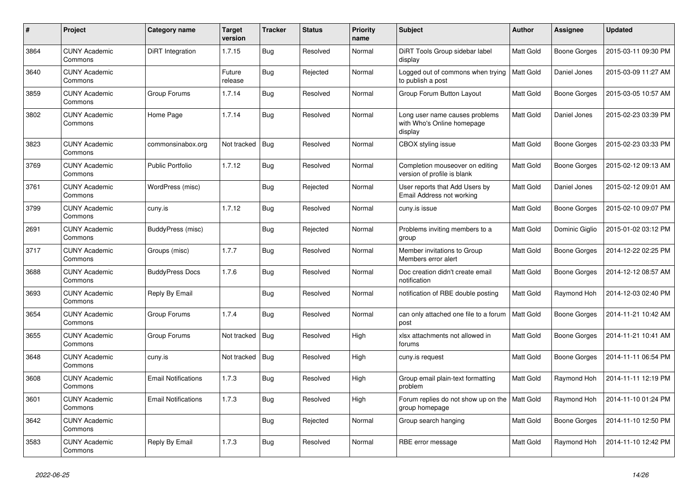| $\pmb{\#}$ | Project                         | Category name              | <b>Target</b><br>version | <b>Tracker</b> | <b>Status</b> | <b>Priority</b><br>name | <b>Subject</b>                                                          | <b>Author</b>    | Assignee            | <b>Updated</b>      |
|------------|---------------------------------|----------------------------|--------------------------|----------------|---------------|-------------------------|-------------------------------------------------------------------------|------------------|---------------------|---------------------|
| 3864       | <b>CUNY Academic</b><br>Commons | DiRT Integration           | 1.7.15                   | Bug            | Resolved      | Normal                  | DiRT Tools Group sidebar label<br>display                               | <b>Matt Gold</b> | Boone Gorges        | 2015-03-11 09:30 PM |
| 3640       | <b>CUNY Academic</b><br>Commons |                            | Future<br>release        | Bug            | Rejected      | Normal                  | Logged out of commons when trying<br>to publish a post                  | <b>Matt Gold</b> | Daniel Jones        | 2015-03-09 11:27 AM |
| 3859       | <b>CUNY Academic</b><br>Commons | Group Forums               | 1.7.14                   | <b>Bug</b>     | Resolved      | Normal                  | Group Forum Button Layout                                               | Matt Gold        | Boone Gorges        | 2015-03-05 10:57 AM |
| 3802       | <b>CUNY Academic</b><br>Commons | Home Page                  | 1.7.14                   | <b>Bug</b>     | Resolved      | Normal                  | Long user name causes problems<br>with Who's Online homepage<br>display | Matt Gold        | Daniel Jones        | 2015-02-23 03:39 PM |
| 3823       | <b>CUNY Academic</b><br>Commons | commonsinabox.org          | Not tracked              | Bug            | Resolved      | Normal                  | CBOX styling issue                                                      | Matt Gold        | <b>Boone Gorges</b> | 2015-02-23 03:33 PM |
| 3769       | <b>CUNY Academic</b><br>Commons | <b>Public Portfolio</b>    | 1.7.12                   | <b>Bug</b>     | Resolved      | Normal                  | Completion mouseover on editing<br>version of profile is blank          | <b>Matt Gold</b> | Boone Gorges        | 2015-02-12 09:13 AM |
| 3761       | <b>CUNY Academic</b><br>Commons | WordPress (misc)           |                          | <b>Bug</b>     | Rejected      | Normal                  | User reports that Add Users by<br>Email Address not working             | Matt Gold        | Daniel Jones        | 2015-02-12 09:01 AM |
| 3799       | <b>CUNY Academic</b><br>Commons | cuny.is                    | 1.7.12                   | Bug            | Resolved      | Normal                  | cuny.is issue                                                           | Matt Gold        | Boone Gorges        | 2015-02-10 09:07 PM |
| 2691       | <b>CUNY Academic</b><br>Commons | BuddyPress (misc)          |                          | Bug            | Rejected      | Normal                  | Problems inviting members to a<br>group                                 | Matt Gold        | Dominic Giglio      | 2015-01-02 03:12 PM |
| 3717       | <b>CUNY Academic</b><br>Commons | Groups (misc)              | 1.7.7                    | Bug            | Resolved      | Normal                  | Member invitations to Group<br>Members error alert                      | Matt Gold        | Boone Gorges        | 2014-12-22 02:25 PM |
| 3688       | <b>CUNY Academic</b><br>Commons | <b>BuddyPress Docs</b>     | 1.7.6                    | Bug            | Resolved      | Normal                  | Doc creation didn't create email<br>notification                        | Matt Gold        | Boone Gorges        | 2014-12-12 08:57 AM |
| 3693       | <b>CUNY Academic</b><br>Commons | Reply By Email             |                          | Bug            | Resolved      | Normal                  | notification of RBE double posting                                      | <b>Matt Gold</b> | Raymond Hoh         | 2014-12-03 02:40 PM |
| 3654       | <b>CUNY Academic</b><br>Commons | Group Forums               | 1.7.4                    | Bug            | Resolved      | Normal                  | can only attached one file to a forum<br>post                           | <b>Matt Gold</b> | Boone Gorges        | 2014-11-21 10:42 AM |
| 3655       | <b>CUNY Academic</b><br>Commons | Group Forums               | Not tracked              | <b>Bug</b>     | Resolved      | High                    | xlsx attachments not allowed in<br>forums                               | Matt Gold        | Boone Gorges        | 2014-11-21 10:41 AM |
| 3648       | <b>CUNY Academic</b><br>Commons | cuny.is                    | Not tracked              | Bug            | Resolved      | High                    | cuny.is request                                                         | Matt Gold        | <b>Boone Gorges</b> | 2014-11-11 06:54 PM |
| 3608       | <b>CUNY Academic</b><br>Commons | <b>Email Notifications</b> | 1.7.3                    | Bug            | Resolved      | High                    | Group email plain-text formatting<br>problem                            | Matt Gold        | Raymond Hoh         | 2014-11-11 12:19 PM |
| 3601       | <b>CUNY Academic</b><br>Commons | <b>Email Notifications</b> | 1.7.3                    | <b>Bug</b>     | Resolved      | High                    | Forum replies do not show up on the<br>group homepage                   | Matt Gold        | Raymond Hoh         | 2014-11-10 01:24 PM |
| 3642       | <b>CUNY Academic</b><br>Commons |                            |                          | Bug            | Rejected      | Normal                  | Group search hanging                                                    | Matt Gold        | <b>Boone Gorges</b> | 2014-11-10 12:50 PM |
| 3583       | <b>CUNY Academic</b><br>Commons | Reply By Email             | 1.7.3                    | Bug            | Resolved      | Normal                  | RBE error message                                                       | Matt Gold        | Raymond Hoh         | 2014-11-10 12:42 PM |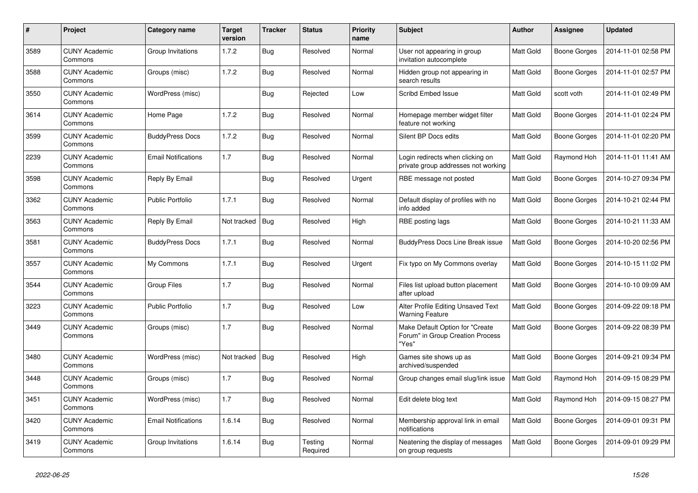| #    | Project                         | Category name              | <b>Target</b><br>version | <b>Tracker</b> | <b>Status</b>       | <b>Priority</b><br>name | <b>Subject</b>                                                               | <b>Author</b>    | Assignee     | <b>Updated</b>      |
|------|---------------------------------|----------------------------|--------------------------|----------------|---------------------|-------------------------|------------------------------------------------------------------------------|------------------|--------------|---------------------|
| 3589 | <b>CUNY Academic</b><br>Commons | Group Invitations          | 1.7.2                    | Bug            | Resolved            | Normal                  | User not appearing in group<br>invitation autocomplete                       | Matt Gold        | Boone Gorges | 2014-11-01 02:58 PM |
| 3588 | <b>CUNY Academic</b><br>Commons | Groups (misc)              | 1.7.2                    | Bug            | Resolved            | Normal                  | Hidden group not appearing in<br>search results                              | Matt Gold        | Boone Gorges | 2014-11-01 02:57 PM |
| 3550 | <b>CUNY Academic</b><br>Commons | WordPress (misc)           |                          | Bug            | Rejected            | Low                     | <b>Scribd Embed Issue</b>                                                    | <b>Matt Gold</b> | scott voth   | 2014-11-01 02:49 PM |
| 3614 | <b>CUNY Academic</b><br>Commons | Home Page                  | 1.7.2                    | Bug            | Resolved            | Normal                  | Homepage member widget filter<br>feature not working                         | Matt Gold        | Boone Gorges | 2014-11-01 02:24 PM |
| 3599 | <b>CUNY Academic</b><br>Commons | <b>BuddyPress Docs</b>     | 1.7.2                    | Bug            | Resolved            | Normal                  | Silent BP Docs edits                                                         | Matt Gold        | Boone Gorges | 2014-11-01 02:20 PM |
| 2239 | <b>CUNY Academic</b><br>Commons | <b>Email Notifications</b> | 1.7                      | Bug            | Resolved            | Normal                  | Login redirects when clicking on<br>private group addresses not working      | <b>Matt Gold</b> | Raymond Hoh  | 2014-11-01 11:41 AM |
| 3598 | <b>CUNY Academic</b><br>Commons | Reply By Email             |                          | <b>Bug</b>     | Resolved            | Urgent                  | RBE message not posted                                                       | Matt Gold        | Boone Gorges | 2014-10-27 09:34 PM |
| 3362 | CUNY Academic<br>Commons        | <b>Public Portfolio</b>    | 1.7.1                    | <b>Bug</b>     | Resolved            | Normal                  | Default display of profiles with no<br>info added                            | Matt Gold        | Boone Gorges | 2014-10-21 02:44 PM |
| 3563 | <b>CUNY Academic</b><br>Commons | Reply By Email             | Not tracked              | Bug            | Resolved            | High                    | RBE posting lags                                                             | Matt Gold        | Boone Gorges | 2014-10-21 11:33 AM |
| 3581 | <b>CUNY Academic</b><br>Commons | <b>BuddyPress Docs</b>     | 1.7.1                    | Bug            | Resolved            | Normal                  | <b>BuddyPress Docs Line Break issue</b>                                      | Matt Gold        | Boone Gorges | 2014-10-20 02:56 PM |
| 3557 | <b>CUNY Academic</b><br>Commons | My Commons                 | 1.7.1                    | Bug            | Resolved            | Urgent                  | Fix typo on My Commons overlay                                               | Matt Gold        | Boone Gorges | 2014-10-15 11:02 PM |
| 3544 | <b>CUNY Academic</b><br>Commons | <b>Group Files</b>         | 1.7                      | Bug            | Resolved            | Normal                  | Files list upload button placement<br>after upload                           | Matt Gold        | Boone Gorges | 2014-10-10 09:09 AM |
| 3223 | <b>CUNY Academic</b><br>Commons | <b>Public Portfolio</b>    | 1.7                      | Bug            | Resolved            | Low                     | Alter Profile Editing Unsaved Text<br><b>Warning Feature</b>                 | Matt Gold        | Boone Gorges | 2014-09-22 09:18 PM |
| 3449 | <b>CUNY Academic</b><br>Commons | Groups (misc)              | 1.7                      | Bug            | Resolved            | Normal                  | Make Default Option for "Create<br>Forum" in Group Creation Process<br>"Yes" | Matt Gold        | Boone Gorges | 2014-09-22 08:39 PM |
| 3480 | <b>CUNY Academic</b><br>Commons | WordPress (misc)           | Not tracked              | <b>Bug</b>     | Resolved            | High                    | Games site shows up as<br>archived/suspended                                 | Matt Gold        | Boone Gorges | 2014-09-21 09:34 PM |
| 3448 | <b>CUNY Academic</b><br>Commons | Groups (misc)              | 1.7                      | <b>Bug</b>     | Resolved            | Normal                  | Group changes email slug/link issue                                          | Matt Gold        | Raymond Hoh  | 2014-09-15 08:29 PM |
| 3451 | <b>CUNY Academic</b><br>Commons | WordPress (misc)           | 1.7                      | Bug            | Resolved            | Normal                  | Edit delete blog text                                                        | <b>Matt Gold</b> | Raymond Hoh  | 2014-09-15 08:27 PM |
| 3420 | <b>CUNY Academic</b><br>Commons | <b>Email Notifications</b> | 1.6.14                   | Bug            | Resolved            | Normal                  | Membership approval link in email<br>notifications                           | Matt Gold        | Boone Gorges | 2014-09-01 09:31 PM |
| 3419 | <b>CUNY Academic</b><br>Commons | Group Invitations          | 1.6.14                   | Bug            | Testing<br>Required | Normal                  | Neatening the display of messages<br>on group requests                       | <b>Matt Gold</b> | Boone Gorges | 2014-09-01 09:29 PM |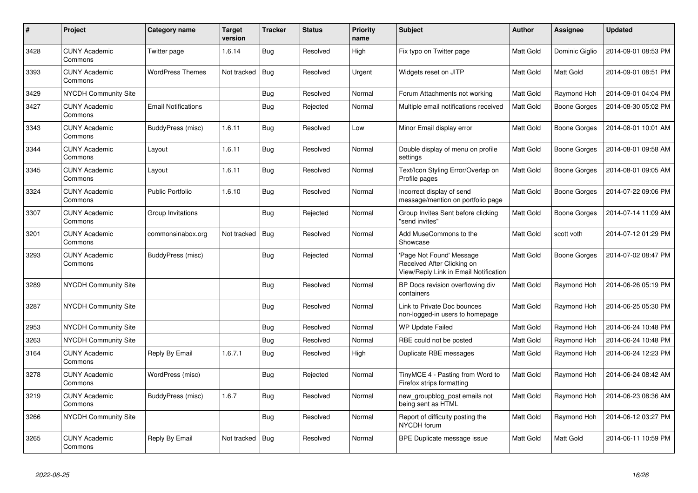| $\#$ | Project                         | Category name              | <b>Target</b><br>version | <b>Tracker</b> | <b>Status</b> | <b>Priority</b><br>name | <b>Subject</b>                                                                                 | <b>Author</b>    | Assignee            | <b>Updated</b>      |
|------|---------------------------------|----------------------------|--------------------------|----------------|---------------|-------------------------|------------------------------------------------------------------------------------------------|------------------|---------------------|---------------------|
| 3428 | <b>CUNY Academic</b><br>Commons | Twitter page               | 1.6.14                   | Bug            | Resolved      | High                    | Fix typo on Twitter page                                                                       | <b>Matt Gold</b> | Dominic Giglio      | 2014-09-01 08:53 PM |
| 3393 | <b>CUNY Academic</b><br>Commons | <b>WordPress Themes</b>    | Not tracked              | Bug            | Resolved      | Urgent                  | Widgets reset on JITP                                                                          | <b>Matt Gold</b> | <b>Matt Gold</b>    | 2014-09-01 08:51 PM |
| 3429 | <b>NYCDH Community Site</b>     |                            |                          | <b>Bug</b>     | Resolved      | Normal                  | Forum Attachments not working                                                                  | Matt Gold        | Raymond Hoh         | 2014-09-01 04:04 PM |
| 3427 | <b>CUNY Academic</b><br>Commons | <b>Email Notifications</b> |                          | Bug            | Rejected      | Normal                  | Multiple email notifications received                                                          | <b>Matt Gold</b> | Boone Gorges        | 2014-08-30 05:02 PM |
| 3343 | <b>CUNY Academic</b><br>Commons | BuddyPress (misc)          | 1.6.11                   | <b>Bug</b>     | Resolved      | Low                     | Minor Email display error                                                                      | Matt Gold        | Boone Gorges        | 2014-08-01 10:01 AM |
| 3344 | <b>CUNY Academic</b><br>Commons | Layout                     | 1.6.11                   | <b>Bug</b>     | Resolved      | Normal                  | Double display of menu on profile<br>settings                                                  | Matt Gold        | Boone Gorges        | 2014-08-01 09:58 AM |
| 3345 | <b>CUNY Academic</b><br>Commons | Layout                     | 1.6.11                   | Bug            | Resolved      | Normal                  | Text/Icon Styling Error/Overlap on<br>Profile pages                                            | Matt Gold        | Boone Gorges        | 2014-08-01 09:05 AM |
| 3324 | <b>CUNY Academic</b><br>Commons | <b>Public Portfolio</b>    | 1.6.10                   | Bug            | Resolved      | Normal                  | Incorrect display of send<br>message/mention on portfolio page                                 | <b>Matt Gold</b> | <b>Boone Gorges</b> | 2014-07-22 09:06 PM |
| 3307 | <b>CUNY Academic</b><br>Commons | Group Invitations          |                          | Bug            | Rejected      | Normal                  | Group Invites Sent before clicking<br>'send invites"                                           | Matt Gold        | Boone Gorges        | 2014-07-14 11:09 AM |
| 3201 | <b>CUNY Academic</b><br>Commons | commonsinabox.org          | Not tracked              | Bug            | Resolved      | Normal                  | Add MuseCommons to the<br>Showcase                                                             | <b>Matt Gold</b> | scott voth          | 2014-07-12 01:29 PM |
| 3293 | <b>CUNY Academic</b><br>Commons | BuddyPress (misc)          |                          | Bug            | Rejected      | Normal                  | Page Not Found' Message<br>Received After Clicking on<br>View/Reply Link in Email Notification | <b>Matt Gold</b> | <b>Boone Gorges</b> | 2014-07-02 08:47 PM |
| 3289 | <b>NYCDH Community Site</b>     |                            |                          | <b>Bug</b>     | Resolved      | Normal                  | BP Docs revision overflowing div<br>containers                                                 | Matt Gold        | Raymond Hoh         | 2014-06-26 05:19 PM |
| 3287 | <b>NYCDH Community Site</b>     |                            |                          | Bug            | Resolved      | Normal                  | Link to Private Doc bounces<br>non-logged-in users to homepage                                 | Matt Gold        | Raymond Hoh         | 2014-06-25 05:30 PM |
| 2953 | <b>NYCDH Community Site</b>     |                            |                          | Bug            | Resolved      | Normal                  | <b>WP Update Failed</b>                                                                        | Matt Gold        | Raymond Hoh         | 2014-06-24 10:48 PM |
| 3263 | NYCDH Community Site            |                            |                          | Bug            | Resolved      | Normal                  | RBE could not be posted                                                                        | Matt Gold        | Raymond Hoh         | 2014-06-24 10:48 PM |
| 3164 | <b>CUNY Academic</b><br>Commons | Reply By Email             | 1.6.7.1                  | Bug            | Resolved      | High                    | Duplicate RBE messages                                                                         | Matt Gold        | Raymond Hoh         | 2014-06-24 12:23 PM |
| 3278 | <b>CUNY Academic</b><br>Commons | WordPress (misc)           |                          | Bug            | Rejected      | Normal                  | TinyMCE 4 - Pasting from Word to<br>Firefox strips formatting                                  | Matt Gold        | Raymond Hoh         | 2014-06-24 08:42 AM |
| 3219 | <b>CUNY Academic</b><br>Commons | BuddyPress (misc)          | 1.6.7                    | Bug            | Resolved      | Normal                  | new_groupblog_post emails not<br>being sent as HTML                                            | Matt Gold        | Raymond Hoh         | 2014-06-23 08:36 AM |
| 3266 | <b>NYCDH Community Site</b>     |                            |                          | Bug            | Resolved      | Normal                  | Report of difficulty posting the<br>NYCDH forum                                                | Matt Gold        | Raymond Hoh         | 2014-06-12 03:27 PM |
| 3265 | <b>CUNY Academic</b><br>Commons | Reply By Email             | Not tracked              | Bug            | Resolved      | Normal                  | BPE Duplicate message issue                                                                    | <b>Matt Gold</b> | <b>Matt Gold</b>    | 2014-06-11 10:59 PM |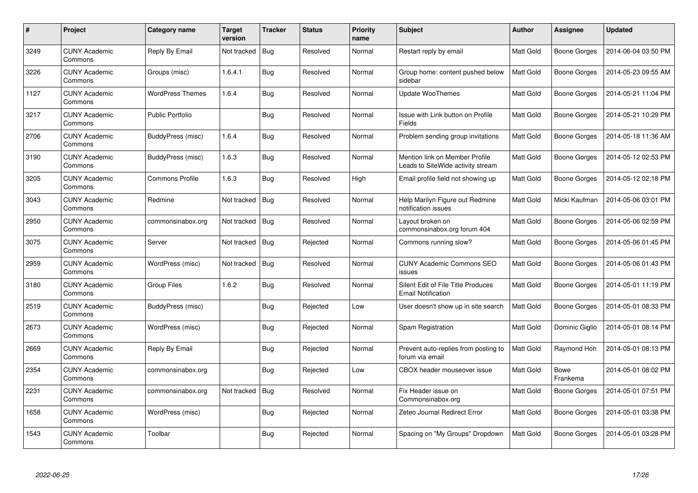| $\#$ | Project                         | Category name           | <b>Target</b><br>version | <b>Tracker</b> | <b>Status</b> | <b>Priority</b><br>name | Subject                                                             | <b>Author</b>    | Assignee            | <b>Updated</b>      |
|------|---------------------------------|-------------------------|--------------------------|----------------|---------------|-------------------------|---------------------------------------------------------------------|------------------|---------------------|---------------------|
| 3249 | <b>CUNY Academic</b><br>Commons | Reply By Email          | Not tracked              | Bug            | Resolved      | Normal                  | Restart reply by email                                              | <b>Matt Gold</b> | Boone Gorges        | 2014-06-04 03:50 PM |
| 3226 | <b>CUNY Academic</b><br>Commons | Groups (misc)           | 1.6.4.1                  | Bug            | Resolved      | Normal                  | Group home: content pushed below<br>sidebar                         | <b>Matt Gold</b> | Boone Gorges        | 2014-05-23 09:55 AM |
| 1127 | <b>CUNY Academic</b><br>Commons | <b>WordPress Themes</b> | 1.6.4                    | Bug            | Resolved      | Normal                  | Update WooThemes                                                    | Matt Gold        | Boone Gorges        | 2014-05-21 11:04 PM |
| 3217 | <b>CUNY Academic</b><br>Commons | Public Portfolio        |                          | Bug            | Resolved      | Normal                  | Issue with Link button on Profile<br>Fields                         | Matt Gold        | Boone Gorges        | 2014-05-21 10:29 PM |
| 2706 | <b>CUNY Academic</b><br>Commons | BuddyPress (misc)       | 1.6.4                    | Bug            | Resolved      | Normal                  | Problem sending group invitations                                   | <b>Matt Gold</b> | <b>Boone Gorges</b> | 2014-05-18 11:36 AM |
| 3190 | <b>CUNY Academic</b><br>Commons | BuddyPress (misc)       | 1.6.3                    | Bug            | Resolved      | Normal                  | Mention link on Member Profile<br>Leads to SiteWide activity stream | Matt Gold        | Boone Gorges        | 2014-05-12 02:53 PM |
| 3205 | <b>CUNY Academic</b><br>Commons | <b>Commons Profile</b>  | 1.6.3                    | Bug            | Resolved      | High                    | Email profile field not showing up                                  | Matt Gold        | <b>Boone Gorges</b> | 2014-05-12 02:18 PM |
| 3043 | <b>CUNY Academic</b><br>Commons | Redmine                 | Not tracked              | Bug            | Resolved      | Normal                  | Help Marilyn Figure out Redmine<br>notification issues              | Matt Gold        | Micki Kaufman       | 2014-05-06 03:01 PM |
| 2950 | <b>CUNY Academic</b><br>Commons | commonsinabox.org       | Not tracked              | <b>Bug</b>     | Resolved      | Normal                  | Layout broken on<br>commonsinabox.org forum 404                     | <b>Matt Gold</b> | <b>Boone Gorges</b> | 2014-05-06 02:59 PM |
| 3075 | <b>CUNY Academic</b><br>Commons | Server                  | Not tracked              | Bug            | Rejected      | Normal                  | Commons running slow?                                               | Matt Gold        | Boone Gorges        | 2014-05-06 01:45 PM |
| 2959 | <b>CUNY Academic</b><br>Commons | WordPress (misc)        | Not tracked              | Bug            | Resolved      | Normal                  | <b>CUNY Academic Commons SEO</b><br>issues                          | Matt Gold        | Boone Gorges        | 2014-05-06 01:43 PM |
| 3180 | <b>CUNY Academic</b><br>Commons | Group Files             | 1.6.2                    | Bug            | Resolved      | Normal                  | Silent Edit of File Title Produces<br><b>Email Notification</b>     | Matt Gold        | Boone Gorges        | 2014-05-01 11:19 PM |
| 2519 | <b>CUNY Academic</b><br>Commons | BuddyPress (misc)       |                          | Bug            | Rejected      | Low                     | User doesn't show up in site search                                 | <b>Matt Gold</b> | Boone Gorges        | 2014-05-01 08:33 PM |
| 2673 | <b>CUNY Academic</b><br>Commons | WordPress (misc)        |                          | Bug            | Rejected      | Normal                  | Spam Registration                                                   | Matt Gold        | Dominic Giglio      | 2014-05-01 08:14 PM |
| 2669 | <b>CUNY Academic</b><br>Commons | Reply By Email          |                          | Bug            | Rejected      | Normal                  | Prevent auto-replies from posting to<br>forum via email             | Matt Gold        | Raymond Hoh         | 2014-05-01 08:13 PM |
| 2354 | <b>CUNY Academic</b><br>Commons | commonsinabox.org       |                          | Bug            | Rejected      | Low                     | CBOX header mouseover issue                                         | Matt Gold        | Bowe<br>Frankema    | 2014-05-01 08:02 PM |
| 2231 | <b>CUNY Academic</b><br>Commons | commonsinabox.org       | Not tracked              | Bug            | Resolved      | Normal                  | Fix Header issue on<br>Commonsinabox.org                            | Matt Gold        | Boone Gorges        | 2014-05-01 07:51 PM |
| 1658 | <b>CUNY Academic</b><br>Commons | WordPress (misc)        |                          | Bug            | Rejected      | Normal                  | Zeteo Journal Redirect Error                                        | Matt Gold        | Boone Gorges        | 2014-05-01 03:38 PM |
| 1543 | <b>CUNY Academic</b><br>Commons | Toolbar                 |                          | Bug            | Rejected      | Normal                  | Spacing on "My Groups" Dropdown                                     | Matt Gold        | Boone Gorges        | 2014-05-01 03:28 PM |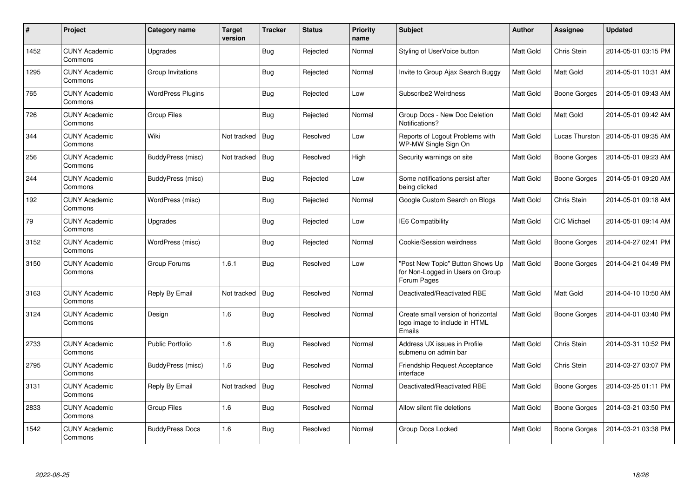| $\#$ | Project                         | Category name            | <b>Target</b><br>version | <b>Tracker</b> | <b>Status</b> | <b>Priority</b><br>name | <b>Subject</b>                                                                      | <b>Author</b>    | <b>Assignee</b>     | <b>Updated</b>      |
|------|---------------------------------|--------------------------|--------------------------|----------------|---------------|-------------------------|-------------------------------------------------------------------------------------|------------------|---------------------|---------------------|
| 1452 | <b>CUNY Academic</b><br>Commons | Upgrades                 |                          | Bug            | Rejected      | Normal                  | Styling of UserVoice button                                                         | Matt Gold        | Chris Stein         | 2014-05-01 03:15 PM |
| 1295 | <b>CUNY Academic</b><br>Commons | Group Invitations        |                          | Bug            | Rejected      | Normal                  | Invite to Group Ajax Search Buggy                                                   | <b>Matt Gold</b> | <b>Matt Gold</b>    | 2014-05-01 10:31 AM |
| 765  | <b>CUNY Academic</b><br>Commons | <b>WordPress Plugins</b> |                          | Bug            | Rejected      | Low                     | Subscribe2 Weirdness                                                                | Matt Gold        | Boone Gorges        | 2014-05-01 09:43 AM |
| 726  | <b>CUNY Academic</b><br>Commons | <b>Group Files</b>       |                          | <b>Bug</b>     | Rejected      | Normal                  | Group Docs - New Doc Deletion<br>Notifications?                                     | Matt Gold        | <b>Matt Gold</b>    | 2014-05-01 09:42 AM |
| 344  | <b>CUNY Academic</b><br>Commons | Wiki                     | Not tracked              | Bug            | Resolved      | Low                     | Reports of Logout Problems with<br>WP-MW Single Sign On                             | Matt Gold        | Lucas Thurston      | 2014-05-01 09:35 AM |
| 256  | <b>CUNY Academic</b><br>Commons | BuddyPress (misc)        | Not tracked              | Bug            | Resolved      | High                    | Security warnings on site                                                           | Matt Gold        | Boone Gorges        | 2014-05-01 09:23 AM |
| 244  | <b>CUNY Academic</b><br>Commons | BuddyPress (misc)        |                          | Bug            | Rejected      | Low                     | Some notifications persist after<br>being clicked                                   | Matt Gold        | Boone Gorges        | 2014-05-01 09:20 AM |
| 192  | <b>CUNY Academic</b><br>Commons | WordPress (misc)         |                          | Bug            | Rejected      | Normal                  | Google Custom Search on Blogs                                                       | Matt Gold        | Chris Stein         | 2014-05-01 09:18 AM |
| 79   | <b>CUNY Academic</b><br>Commons | Upgrades                 |                          | Bug            | Rejected      | Low                     | <b>IE6 Compatibility</b>                                                            | Matt Gold        | <b>CIC Michael</b>  | 2014-05-01 09:14 AM |
| 3152 | <b>CUNY Academic</b><br>Commons | WordPress (misc)         |                          | Bug            | Rejected      | Normal                  | Cookie/Session weirdness                                                            | <b>Matt Gold</b> | Boone Gorges        | 2014-04-27 02:41 PM |
| 3150 | <b>CUNY Academic</b><br>Commons | Group Forums             | 1.6.1                    | Bug            | Resolved      | Low                     | 'Post New Topic" Button Shows Up<br>for Non-Logged in Users on Group<br>Forum Pages | Matt Gold        | Boone Gorges        | 2014-04-21 04:49 PM |
| 3163 | <b>CUNY Academic</b><br>Commons | Reply By Email           | Not tracked              | Bug            | Resolved      | Normal                  | Deactivated/Reactivated RBE                                                         | Matt Gold        | <b>Matt Gold</b>    | 2014-04-10 10:50 AM |
| 3124 | <b>CUNY Academic</b><br>Commons | Design                   | 1.6                      | Bug            | Resolved      | Normal                  | Create small version of horizontal<br>logo image to include in HTML<br>Emails       | Matt Gold        | <b>Boone Gorges</b> | 2014-04-01 03:40 PM |
| 2733 | <b>CUNY Academic</b><br>Commons | <b>Public Portfolio</b>  | 1.6                      | Bug            | Resolved      | Normal                  | Address UX issues in Profile<br>submenu on admin bar                                | Matt Gold        | Chris Stein         | 2014-03-31 10:52 PM |
| 2795 | <b>CUNY Academic</b><br>Commons | BuddyPress (misc)        | 1.6                      | Bug            | Resolved      | Normal                  | <b>Friendship Request Acceptance</b><br>interface                                   | Matt Gold        | Chris Stein         | 2014-03-27 03:07 PM |
| 3131 | <b>CUNY Academic</b><br>Commons | Reply By Email           | Not tracked              | Bug            | Resolved      | Normal                  | Deactivated/Reactivated RBE                                                         | Matt Gold        | Boone Gorges        | 2014-03-25 01:11 PM |
| 2833 | <b>CUNY Academic</b><br>Commons | Group Files              | 1.6                      | Bug            | Resolved      | Normal                  | Allow silent file deletions                                                         | Matt Gold        | Boone Gorges        | 2014-03-21 03:50 PM |
| 1542 | <b>CUNY Academic</b><br>Commons | <b>BuddyPress Docs</b>   | 1.6                      | Bug            | Resolved      | Normal                  | Group Docs Locked                                                                   | Matt Gold        | Boone Gorges        | 2014-03-21 03:38 PM |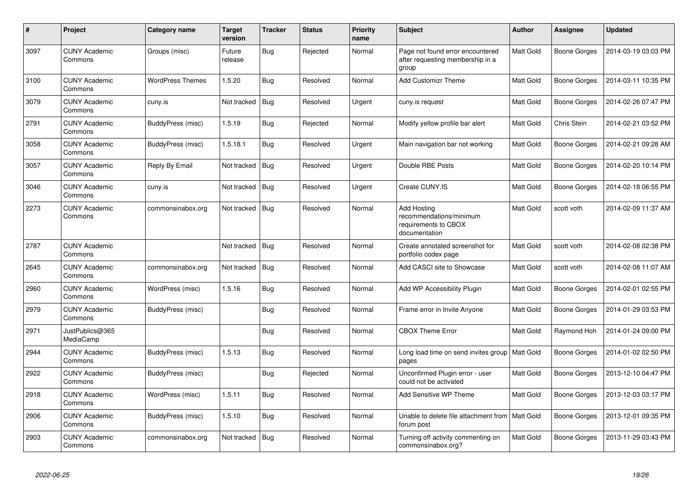| #    | Project                         | Category name           | <b>Target</b><br>version | <b>Tracker</b> | <b>Status</b> | <b>Priority</b><br>name | <b>Subject</b>                                                                         | <b>Author</b>    | Assignee            | <b>Updated</b>      |
|------|---------------------------------|-------------------------|--------------------------|----------------|---------------|-------------------------|----------------------------------------------------------------------------------------|------------------|---------------------|---------------------|
| 3097 | <b>CUNY Academic</b><br>Commons | Groups (misc)           | Future<br>release        | Bug            | Rejected      | Normal                  | Page not found error encountered<br>after requesting membership in a<br>group          | Matt Gold        | <b>Boone Gorges</b> | 2014-03-19 03:03 PM |
| 3100 | <b>CUNY Academic</b><br>Commons | <b>WordPress Themes</b> | 1.5.20                   | Bug            | Resolved      | Normal                  | <b>Add Customizr Theme</b>                                                             | Matt Gold        | <b>Boone Gorges</b> | 2014-03-11 10:35 PM |
| 3079 | <b>CUNY Academic</b><br>Commons | cuny.is                 | Not tracked              | <b>Bug</b>     | Resolved      | Urgent                  | cuny.is request                                                                        | Matt Gold        | <b>Boone Gorges</b> | 2014-02-26 07:47 PM |
| 2791 | <b>CUNY Academic</b><br>Commons | BuddyPress (misc)       | 1.5.19                   | Bug            | Rejected      | Normal                  | Modify yellow profile bar alert                                                        | <b>Matt Gold</b> | Chris Stein         | 2014-02-21 03:52 PM |
| 3058 | <b>CUNY Academic</b><br>Commons | BuddyPress (misc)       | 1.5.18.1                 | Bug            | Resolved      | Urgent                  | Main navigation bar not working                                                        | Matt Gold        | Boone Gorges        | 2014-02-21 09:28 AM |
| 3057 | <b>CUNY Academic</b><br>Commons | Reply By Email          | Not tracked              | Bug            | Resolved      | Urgent                  | Double RBE Posts                                                                       | Matt Gold        | <b>Boone Gorges</b> | 2014-02-20 10:14 PM |
| 3046 | <b>CUNY Academic</b><br>Commons | cuny.is                 | Not tracked              | Bug            | Resolved      | Urgent                  | Create CUNY.IS                                                                         | <b>Matt Gold</b> | Boone Gorges        | 2014-02-18 06:55 PM |
| 2273 | <b>CUNY Academic</b><br>Commons | commonsinabox.org       | Not tracked              | Bug            | Resolved      | Normal                  | <b>Add Hosting</b><br>recommendations/minimum<br>requirements to CBOX<br>documentation | <b>Matt Gold</b> | scott voth          | 2014-02-09 11:37 AM |
| 2787 | <b>CUNY Academic</b><br>Commons |                         | Not tracked              | Bug            | Resolved      | Normal                  | Create annotated screenshot for<br>portfolio codex page                                | Matt Gold        | scott voth          | 2014-02-08 02:38 PM |
| 2645 | <b>CUNY Academic</b><br>Commons | commonsinabox.org       | Not tracked              | Bug            | Resolved      | Normal                  | Add CASCI site to Showcase                                                             | Matt Gold        | scott voth          | 2014-02-08 11:07 AM |
| 2960 | <b>CUNY Academic</b><br>Commons | WordPress (misc)        | 1.5.16                   | <b>Bug</b>     | Resolved      | Normal                  | Add WP Accessibility Plugin                                                            | Matt Gold        | <b>Boone Gorges</b> | 2014-02-01 02:55 PM |
| 2979 | <b>CUNY Academic</b><br>Commons | BuddyPress (misc)       |                          | <b>Bug</b>     | Resolved      | Normal                  | Frame error in Invite Anyone                                                           | Matt Gold        | Boone Gorges        | 2014-01-29 03:53 PM |
| 2971 | JustPublics@365<br>MediaCamp    |                         |                          | <b>Bug</b>     | Resolved      | Normal                  | <b>CBOX Theme Error</b>                                                                | Matt Gold        | Raymond Hoh         | 2014-01-24 09:00 PM |
| 2944 | <b>CUNY Academic</b><br>Commons | BuddyPress (misc)       | 1.5.13                   | Bug            | Resolved      | Normal                  | Long load time on send invites group<br>pages                                          | Matt Gold        | <b>Boone Gorges</b> | 2014-01-02 02:50 PM |
| 2922 | <b>CUNY Academic</b><br>Commons | BuddyPress (misc)       |                          | Bug            | Rejected      | Normal                  | Unconfirmed Plugin error - user<br>could not be activated                              | Matt Gold        | Boone Gorges        | 2013-12-10 04:47 PM |
| 2918 | <b>CUNY Academic</b><br>Commons | WordPress (misc)        | 1.5.11                   | Bug            | Resolved      | Normal                  | Add Sensitive WP Theme                                                                 | Matt Gold        | Boone Gorges        | 2013-12-03 03:17 PM |
| 2906 | <b>CUNY Academic</b><br>Commons | BuddyPress (misc)       | 1.5.10                   | <b>Bug</b>     | Resolved      | Normal                  | Unable to delete file attachment from   Matt Gold<br>forum post                        |                  | Boone Gorges        | 2013-12-01 09:35 PM |
| 2903 | <b>CUNY Academic</b><br>Commons | commonsinabox.org       | Not tracked              | <b>Bug</b>     | Resolved      | Normal                  | Turning off activity commenting on<br>commonsinabox.org?                               | Matt Gold        | <b>Boone Gorges</b> | 2013-11-29 03:43 PM |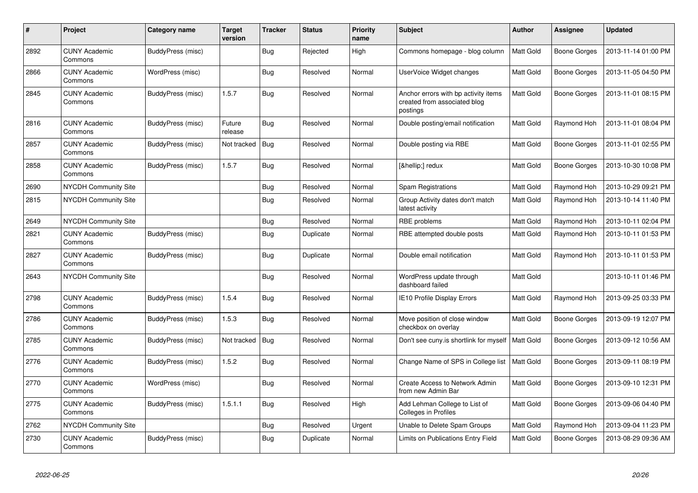| #    | Project                         | Category name     | <b>Target</b><br>version | <b>Tracker</b> | <b>Status</b> | <b>Priority</b><br>name | <b>Subject</b>                                                                   | <b>Author</b>    | Assignee            | <b>Updated</b>      |
|------|---------------------------------|-------------------|--------------------------|----------------|---------------|-------------------------|----------------------------------------------------------------------------------|------------------|---------------------|---------------------|
| 2892 | <b>CUNY Academic</b><br>Commons | BuddyPress (misc) |                          | Bug            | Rejected      | High                    | Commons homepage - blog column                                                   | <b>Matt Gold</b> | <b>Boone Gorges</b> | 2013-11-14 01:00 PM |
| 2866 | <b>CUNY Academic</b><br>Commons | WordPress (misc)  |                          | Bug            | Resolved      | Normal                  | UserVoice Widget changes                                                         | Matt Gold        | Boone Gorges        | 2013-11-05 04:50 PM |
| 2845 | <b>CUNY Academic</b><br>Commons | BuddyPress (misc) | 1.5.7                    | Bug            | Resolved      | Normal                  | Anchor errors with bp activity items<br>created from associated blog<br>postings | Matt Gold        | Boone Gorges        | 2013-11-01 08:15 PM |
| 2816 | <b>CUNY Academic</b><br>Commons | BuddyPress (misc) | Future<br>release        | Bug            | Resolved      | Normal                  | Double posting/email notification                                                | Matt Gold        | Raymond Hoh         | 2013-11-01 08:04 PM |
| 2857 | <b>CUNY Academic</b><br>Commons | BuddyPress (misc) | Not tracked              | Bug            | Resolved      | Normal                  | Double posting via RBE                                                           | Matt Gold        | Boone Gorges        | 2013-11-01 02:55 PM |
| 2858 | <b>CUNY Academic</b><br>Commons | BuddyPress (misc) | 1.5.7                    | Bug            | Resolved      | Normal                  | […] redux                                                                        | Matt Gold        | Boone Gorges        | 2013-10-30 10:08 PM |
| 2690 | NYCDH Community Site            |                   |                          | Bug            | Resolved      | Normal                  | Spam Registrations                                                               | Matt Gold        | Raymond Hoh         | 2013-10-29 09:21 PM |
| 2815 | <b>NYCDH Community Site</b>     |                   |                          | Bug            | Resolved      | Normal                  | Group Activity dates don't match<br>latest activity                              | Matt Gold        | Raymond Hoh         | 2013-10-14 11:40 PM |
| 2649 | NYCDH Community Site            |                   |                          | <b>Bug</b>     | Resolved      | Normal                  | RBE problems                                                                     | Matt Gold        | Raymond Hoh         | 2013-10-11 02:04 PM |
| 2821 | <b>CUNY Academic</b><br>Commons | BuddyPress (misc) |                          | Bug            | Duplicate     | Normal                  | RBE attempted double posts                                                       | Matt Gold        | Raymond Hoh         | 2013-10-11 01:53 PM |
| 2827 | <b>CUNY Academic</b><br>Commons | BuddyPress (misc) |                          | Bug            | Duplicate     | Normal                  | Double email notification                                                        | Matt Gold        | Raymond Hoh         | 2013-10-11 01:53 PM |
| 2643 | <b>NYCDH Community Site</b>     |                   |                          | Bug            | Resolved      | Normal                  | WordPress update through<br>dashboard failed                                     | Matt Gold        |                     | 2013-10-11 01:46 PM |
| 2798 | <b>CUNY Academic</b><br>Commons | BuddyPress (misc) | 1.5.4                    | Bug            | Resolved      | Normal                  | IE10 Profile Display Errors                                                      | Matt Gold        | Raymond Hoh         | 2013-09-25 03:33 PM |
| 2786 | <b>CUNY Academic</b><br>Commons | BuddyPress (misc) | 1.5.3                    | Bug            | Resolved      | Normal                  | Move position of close window<br>checkbox on overlay                             | Matt Gold        | <b>Boone Gorges</b> | 2013-09-19 12:07 PM |
| 2785 | <b>CUNY Academic</b><br>Commons | BuddyPress (misc) | Not tracked              | Bug            | Resolved      | Normal                  | Don't see cuny.is shortlink for myself                                           | Matt Gold        | <b>Boone Gorges</b> | 2013-09-12 10:56 AM |
| 2776 | <b>CUNY Academic</b><br>Commons | BuddyPress (misc) | 1.5.2                    | Bug            | Resolved      | Normal                  | Change Name of SPS in College list                                               | Matt Gold        | Boone Gorges        | 2013-09-11 08:19 PM |
| 2770 | <b>CUNY Academic</b><br>Commons | WordPress (misc)  |                          | Bug            | Resolved      | Normal                  | Create Access to Network Admin<br>from new Admin Bar                             | Matt Gold        | Boone Gorges        | 2013-09-10 12:31 PM |
| 2775 | <b>CUNY Academic</b><br>Commons | BuddyPress (misc) | 1.5.1.1                  | Bug            | Resolved      | High                    | Add Lehman College to List of<br>Colleges in Profiles                            | Matt Gold        | <b>Boone Gorges</b> | 2013-09-06 04:40 PM |
| 2762 | <b>NYCDH Community Site</b>     |                   |                          | Bug            | Resolved      | Urgent                  | Unable to Delete Spam Groups                                                     | Matt Gold        | Raymond Hoh         | 2013-09-04 11:23 PM |
| 2730 | <b>CUNY Academic</b><br>Commons | BuddyPress (misc) |                          | Bug            | Duplicate     | Normal                  | Limits on Publications Entry Field                                               | Matt Gold        | Boone Gorges        | 2013-08-29 09:36 AM |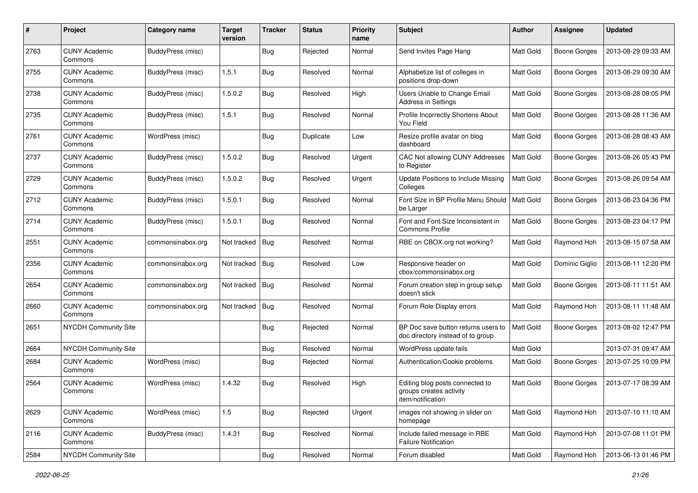| #    | Project                         | Category name     | <b>Target</b><br>version | <b>Tracker</b> | <b>Status</b> | <b>Priority</b><br>name | Subject                                                                         | <b>Author</b>    | <b>Assignee</b>     | <b>Updated</b>      |
|------|---------------------------------|-------------------|--------------------------|----------------|---------------|-------------------------|---------------------------------------------------------------------------------|------------------|---------------------|---------------------|
| 2763 | <b>CUNY Academic</b><br>Commons | BuddyPress (misc) |                          | Bug            | Rejected      | Normal                  | Send Invites Page Hang                                                          | Matt Gold        | Boone Gorges        | 2013-08-29 09:33 AM |
| 2755 | <b>CUNY Academic</b><br>Commons | BuddyPress (misc) | 1.5.1                    | Bug            | Resolved      | Normal                  | Alphabetize list of colleges in<br>positions drop-down                          | Matt Gold        | Boone Gorges        | 2013-08-29 09:30 AM |
| 2738 | <b>CUNY Academic</b><br>Commons | BuddyPress (misc) | 1.5.0.2                  | <b>Bug</b>     | Resolved      | High                    | Users Unable to Change Email<br>Address in Settings                             | Matt Gold        | <b>Boone Gorges</b> | 2013-08-28 09:05 PM |
| 2735 | <b>CUNY Academic</b><br>Commons | BuddyPress (misc) | 1.5.1                    | Bug            | Resolved      | Normal                  | Profile Incorrectly Shortens About<br>You Field                                 | <b>Matt Gold</b> | Boone Gorges        | 2013-08-28 11:36 AM |
| 2761 | <b>CUNY Academic</b><br>Commons | WordPress (misc)  |                          | <b>Bug</b>     | Duplicate     | Low                     | Resize profile avatar on blog<br>dashboard                                      | <b>Matt Gold</b> | <b>Boone Gorges</b> | 2013-08-28 08:43 AM |
| 2737 | <b>CUNY Academic</b><br>Commons | BuddyPress (misc) | 1.5.0.2                  | Bug            | Resolved      | Urgent                  | CAC Not allowing CUNY Addresses<br>to Register                                  | Matt Gold        | Boone Gorges        | 2013-08-26 05:43 PM |
| 2729 | <b>CUNY Academic</b><br>Commons | BuddyPress (misc) | 1.5.0.2                  | Bug            | Resolved      | Urgent                  | Update Positions to Include Missing<br>Colleges                                 | Matt Gold        | <b>Boone Gorges</b> | 2013-08-26 09:54 AM |
| 2712 | <b>CUNY Academic</b><br>Commons | BuddyPress (misc) | 1.5.0.1                  | Bug            | Resolved      | Normal                  | Font Size in BP Profile Menu Should<br>be Larger                                | Matt Gold        | Boone Gorges        | 2013-08-23 04:36 PM |
| 2714 | <b>CUNY Academic</b><br>Commons | BuddyPress (misc) | 1.5.0.1                  | Bug            | Resolved      | Normal                  | Font and Font Size Inconsistent in<br><b>Commons Profile</b>                    | Matt Gold        | Boone Gorges        | 2013-08-23 04:17 PM |
| 2551 | <b>CUNY Academic</b><br>Commons | commonsinabox.org | Not tracked              | Bug            | Resolved      | Normal                  | RBE on CBOX.org not working?                                                    | Matt Gold        | Raymond Hoh         | 2013-08-15 07:58 AM |
| 2356 | <b>CUNY Academic</b><br>Commons | commonsinabox.org | Not tracked              | Bug            | Resolved      | Low                     | Responsive header on<br>cbox/commonsinabox.org                                  | Matt Gold        | Dominic Giglio      | 2013-08-11 12:20 PM |
| 2654 | <b>CUNY Academic</b><br>Commons | commonsinabox.org | Not tracked              | Bug            | Resolved      | Normal                  | Forum creation step in group setup<br>doesn't stick                             | <b>Matt Gold</b> | Boone Gorges        | 2013-08-11 11:51 AM |
| 2660 | <b>CUNY Academic</b><br>Commons | commonsinabox.org | Not tracked              | Bug            | Resolved      | Normal                  | Forum Role Display errors                                                       | Matt Gold        | Raymond Hoh         | 2013-08-11 11:48 AM |
| 2651 | <b>NYCDH Community Site</b>     |                   |                          | Bug            | Rejected      | Normal                  | BP Doc save button returns users to<br>doc directory instead of to group        | Matt Gold        | <b>Boone Gorges</b> | 2013-08-02 12:47 PM |
| 2664 | NYCDH Community Site            |                   |                          | Bug            | Resolved      | Normal                  | WordPress update fails                                                          | Matt Gold        |                     | 2013-07-31 09:47 AM |
| 2684 | <b>CUNY Academic</b><br>Commons | WordPress (misc)  |                          | Bug            | Rejected      | Normal                  | Authentication/Cookie problems                                                  | Matt Gold        | <b>Boone Gorges</b> | 2013-07-25 10:09 PM |
| 2564 | <b>CUNY Academic</b><br>Commons | WordPress (misc)  | 1.4.32                   | Bug            | Resolved      | High                    | Editing blog posts connected to<br>groups creates activity<br>item/notification | Matt Gold        | <b>Boone Gorges</b> | 2013-07-17 08:39 AM |
| 2629 | <b>CUNY Academic</b><br>Commons | WordPress (misc)  | 1.5                      | <b>Bug</b>     | Rejected      | Urgent                  | images not showing in slider on<br>homepage                                     | Matt Gold        | Raymond Hoh         | 2013-07-10 11:10 AM |
| 2116 | <b>CUNY Academic</b><br>Commons | BuddyPress (misc) | 1.4.31                   | <b>Bug</b>     | Resolved      | Normal                  | Include failed message in RBE<br><b>Failure Notification</b>                    | Matt Gold        | Raymond Hoh         | 2013-07-08 11:01 PM |
| 2584 | NYCDH Community Site            |                   |                          | <b>Bug</b>     | Resolved      | Normal                  | Forum disabled                                                                  | Matt Gold        | Raymond Hoh         | 2013-06-13 01:46 PM |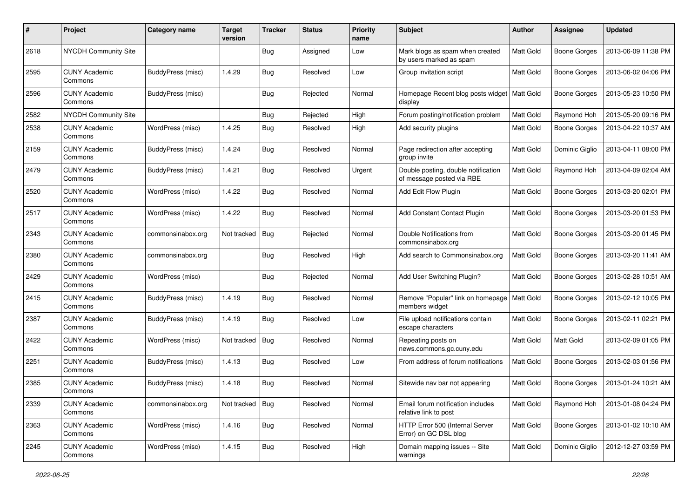| #    | Project                         | Category name     | <b>Target</b><br>version | <b>Tracker</b> | <b>Status</b> | <b>Priority</b><br>name | Subject                                                          | Author           | <b>Assignee</b>     | <b>Updated</b>      |
|------|---------------------------------|-------------------|--------------------------|----------------|---------------|-------------------------|------------------------------------------------------------------|------------------|---------------------|---------------------|
| 2618 | <b>NYCDH Community Site</b>     |                   |                          | <b>Bug</b>     | Assigned      | Low                     | Mark blogs as spam when created<br>by users marked as spam       | Matt Gold        | <b>Boone Gorges</b> | 2013-06-09 11:38 PM |
| 2595 | <b>CUNY Academic</b><br>Commons | BuddyPress (misc) | 1.4.29                   | Bug            | Resolved      | Low                     | Group invitation script                                          | Matt Gold        | Boone Gorges        | 2013-06-02 04:06 PM |
| 2596 | <b>CUNY Academic</b><br>Commons | BuddyPress (misc) |                          | Bug            | Rejected      | Normal                  | Homepage Recent blog posts widget<br>display                     | Matt Gold        | <b>Boone Gorges</b> | 2013-05-23 10:50 PM |
| 2582 | <b>NYCDH Community Site</b>     |                   |                          | Bug            | Rejected      | High                    | Forum posting/notification problem                               | Matt Gold        | Raymond Hoh         | 2013-05-20 09:16 PM |
| 2538 | <b>CUNY Academic</b><br>Commons | WordPress (misc)  | 1.4.25                   | Bug            | Resolved      | High                    | Add security plugins                                             | Matt Gold        | Boone Gorges        | 2013-04-22 10:37 AM |
| 2159 | <b>CUNY Academic</b><br>Commons | BuddyPress (misc) | 1.4.24                   | Bug            | Resolved      | Normal                  | Page redirection after accepting<br>group invite                 | Matt Gold        | Dominic Giglio      | 2013-04-11 08:00 PM |
| 2479 | <b>CUNY Academic</b><br>Commons | BuddyPress (misc) | 1.4.21                   | Bug            | Resolved      | Urgent                  | Double posting, double notification<br>of message posted via RBE | Matt Gold        | Raymond Hoh         | 2013-04-09 02:04 AM |
| 2520 | <b>CUNY Academic</b><br>Commons | WordPress (misc)  | 1.4.22                   | Bug            | Resolved      | Normal                  | Add Edit Flow Plugin                                             | Matt Gold        | <b>Boone Gorges</b> | 2013-03-20 02:01 PM |
| 2517 | <b>CUNY Academic</b><br>Commons | WordPress (misc)  | 1.4.22                   | <b>Bug</b>     | Resolved      | Normal                  | Add Constant Contact Plugin                                      | Matt Gold        | <b>Boone Gorges</b> | 2013-03-20 01:53 PM |
| 2343 | <b>CUNY Academic</b><br>Commons | commonsinabox.org | Not tracked              | Bug            | Rejected      | Normal                  | Double Notifications from<br>commonsinabox.org                   | Matt Gold        | Boone Gorges        | 2013-03-20 01:45 PM |
| 2380 | <b>CUNY Academic</b><br>Commons | commonsinabox.org |                          | Bug            | Resolved      | High                    | Add search to Commonsinabox.org                                  | <b>Matt Gold</b> | Boone Gorges        | 2013-03-20 11:41 AM |
| 2429 | <b>CUNY Academic</b><br>Commons | WordPress (misc)  |                          | Bug            | Rejected      | Normal                  | Add User Switching Plugin?                                       | Matt Gold        | Boone Gorges        | 2013-02-28 10:51 AM |
| 2415 | <b>CUNY Academic</b><br>Commons | BuddyPress (misc) | 1.4.19                   | Bug            | Resolved      | Normal                  | Remove "Popular" link on homepage<br>members widget              | Matt Gold        | Boone Gorges        | 2013-02-12 10:05 PM |
| 2387 | <b>CUNY Academic</b><br>Commons | BuddyPress (misc) | 1.4.19                   | Bug            | Resolved      | Low                     | File upload notifications contain<br>escape characters           | Matt Gold        | <b>Boone Gorges</b> | 2013-02-11 02:21 PM |
| 2422 | <b>CUNY Academic</b><br>Commons | WordPress (misc)  | Not tracked              | Bug            | Resolved      | Normal                  | Repeating posts on<br>news.commons.gc.cuny.edu                   | Matt Gold        | Matt Gold           | 2013-02-09 01:05 PM |
| 2251 | <b>CUNY Academic</b><br>Commons | BuddyPress (misc) | 1.4.13                   | <b>Bug</b>     | Resolved      | Low                     | From address of forum notifications                              | Matt Gold        | <b>Boone Gorges</b> | 2013-02-03 01:56 PM |
| 2385 | <b>CUNY Academic</b><br>Commons | BuddyPress (misc) | 1.4.18                   | Bug            | Resolved      | Normal                  | Sitewide nav bar not appearing                                   | Matt Gold        | <b>Boone Gorges</b> | 2013-01-24 10:21 AM |
| 2339 | <b>CUNY Academic</b><br>Commons | commonsinabox.org | Not tracked              | Bug            | Resolved      | Normal                  | Email forum notification includes<br>relative link to post       | Matt Gold        | Raymond Hoh         | 2013-01-08 04:24 PM |
| 2363 | <b>CUNY Academic</b><br>Commons | WordPress (misc)  | 1.4.16                   | Bug            | Resolved      | Normal                  | HTTP Error 500 (Internal Server<br>Error) on GC DSL blog         | Matt Gold        | <b>Boone Gorges</b> | 2013-01-02 10:10 AM |
| 2245 | <b>CUNY Academic</b><br>Commons | WordPress (misc)  | 1.4.15                   | Bug            | Resolved      | High                    | Domain mapping issues -- Site<br>warnings                        | Matt Gold        | Dominic Giglio      | 2012-12-27 03:59 PM |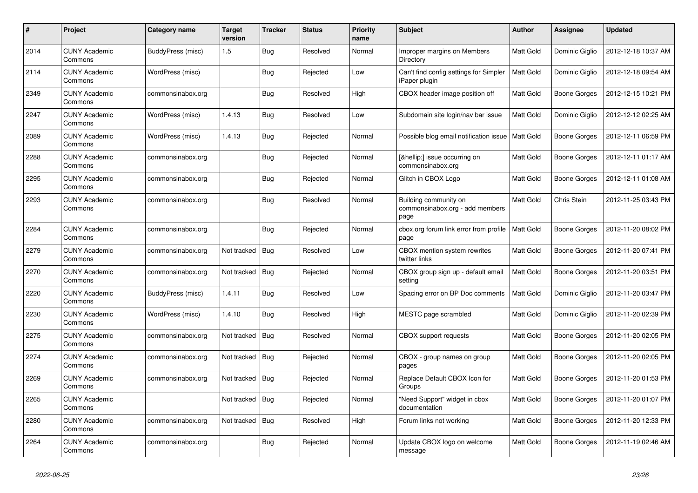| #    | Project                         | Category name     | <b>Target</b><br>version | <b>Tracker</b> | <b>Status</b> | <b>Priority</b><br>name | <b>Subject</b>                                                   | <b>Author</b>    | Assignee       | <b>Updated</b>      |
|------|---------------------------------|-------------------|--------------------------|----------------|---------------|-------------------------|------------------------------------------------------------------|------------------|----------------|---------------------|
| 2014 | <b>CUNY Academic</b><br>Commons | BuddyPress (misc) | 1.5                      | Bug            | Resolved      | Normal                  | Improper margins on Members<br>Directory                         | Matt Gold        | Dominic Giglio | 2012-12-18 10:37 AM |
| 2114 | <b>CUNY Academic</b><br>Commons | WordPress (misc)  |                          | <b>Bug</b>     | Rejected      | Low                     | Can't find config settings for Simpler<br>iPaper plugin          | Matt Gold        | Dominic Giglio | 2012-12-18 09:54 AM |
| 2349 | <b>CUNY Academic</b><br>Commons | commonsinabox.org |                          | Bug            | Resolved      | High                    | CBOX header image position off                                   | Matt Gold        | Boone Gorges   | 2012-12-15 10:21 PM |
| 2247 | <b>CUNY Academic</b><br>Commons | WordPress (misc)  | 1.4.13                   | <b>Bug</b>     | Resolved      | Low                     | Subdomain site login/nav bar issue                               | Matt Gold        | Dominic Giglio | 2012-12-12 02:25 AM |
| 2089 | <b>CUNY Academic</b><br>Commons | WordPress (misc)  | 1.4.13                   | Bug            | Rejected      | Normal                  | Possible blog email notification issue                           | Matt Gold        | Boone Gorges   | 2012-12-11 06:59 PM |
| 2288 | <b>CUNY Academic</b><br>Commons | commonsinabox.org |                          | <b>Bug</b>     | Rejected      | Normal                  | […] issue occurring on<br>commonsinabox.org                      | Matt Gold        | Boone Gorges   | 2012-12-11 01:17 AM |
| 2295 | <b>CUNY Academic</b><br>Commons | commonsinabox.org |                          | <b>Bug</b>     | Rejected      | Normal                  | Glitch in CBOX Logo                                              | Matt Gold        | Boone Gorges   | 2012-12-11 01:08 AM |
| 2293 | <b>CUNY Academic</b><br>Commons | commonsinabox.org |                          | <b>Bug</b>     | Resolved      | Normal                  | Building community on<br>commonsinabox.org - add members<br>page | <b>Matt Gold</b> | Chris Stein    | 2012-11-25 03:43 PM |
| 2284 | <b>CUNY Academic</b><br>Commons | commonsinabox.org |                          | Bug            | Rejected      | Normal                  | cbox.org forum link error from profile<br>page                   | Matt Gold        | Boone Gorges   | 2012-11-20 08:02 PM |
| 2279 | <b>CUNY Academic</b><br>Commons | commonsinabox.org | Not tracked              | <b>Bug</b>     | Resolved      | Low                     | CBOX mention system rewrites<br>twitter links                    | Matt Gold        | Boone Gorges   | 2012-11-20 07:41 PM |
| 2270 | <b>CUNY Academic</b><br>Commons | commonsinabox.org | Not tracked              | Bug            | Rejected      | Normal                  | CBOX group sign up - default email<br>setting                    | Matt Gold        | Boone Gorges   | 2012-11-20 03:51 PM |
| 2220 | <b>CUNY Academic</b><br>Commons | BuddyPress (misc) | 1.4.11                   | Bug            | Resolved      | Low                     | Spacing error on BP Doc comments                                 | Matt Gold        | Dominic Giglio | 2012-11-20 03:47 PM |
| 2230 | <b>CUNY Academic</b><br>Commons | WordPress (misc)  | 1.4.10                   | Bug            | Resolved      | High                    | MESTC page scrambled                                             | Matt Gold        | Dominic Giglio | 2012-11-20 02:39 PM |
| 2275 | <b>CUNY Academic</b><br>Commons | commonsinabox.org | Not tracked              | Bug            | Resolved      | Normal                  | CBOX support requests                                            | <b>Matt Gold</b> | Boone Gorges   | 2012-11-20 02:05 PM |
| 2274 | <b>CUNY Academic</b><br>Commons | commonsinabox.org | Not tracked              | <b>Bug</b>     | Rejected      | Normal                  | CBOX - group names on group<br>pages                             | Matt Gold        | Boone Gorges   | 2012-11-20 02:05 PM |
| 2269 | <b>CUNY Academic</b><br>Commons | commonsinabox.org | Not tracked              | Bug            | Rejected      | Normal                  | Replace Default CBOX Icon for<br>Groups                          | Matt Gold        | Boone Gorges   | 2012-11-20 01:53 PM |
| 2265 | <b>CUNY Academic</b><br>Commons |                   | Not tracked              | Bug            | Rejected      | Normal                  | "Need Support" widget in cbox<br>documentation                   | <b>Matt Gold</b> | Boone Gorges   | 2012-11-20 01:07 PM |
| 2280 | <b>CUNY Academic</b><br>Commons | commonsinabox.org | Not tracked              | <b>Bug</b>     | Resolved      | High                    | Forum links not working                                          | Matt Gold        | Boone Gorges   | 2012-11-20 12:33 PM |
| 2264 | <b>CUNY Academic</b><br>Commons | commonsinabox.org |                          | Bug            | Rejected      | Normal                  | Update CBOX logo on welcome<br>message                           | Matt Gold        | Boone Gorges   | 2012-11-19 02:46 AM |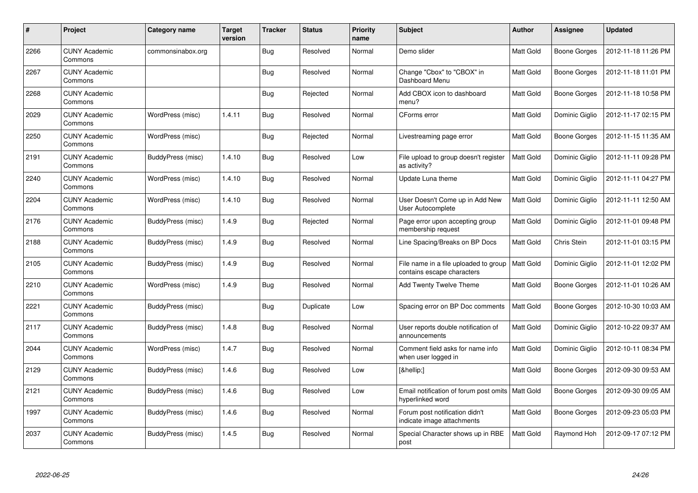| $\#$ | Project                         | Category name     | <b>Target</b><br>version | <b>Tracker</b> | <b>Status</b> | <b>Priority</b><br>name | <b>Subject</b>                                                         | Author           | <b>Assignee</b>     | <b>Updated</b>      |
|------|---------------------------------|-------------------|--------------------------|----------------|---------------|-------------------------|------------------------------------------------------------------------|------------------|---------------------|---------------------|
| 2266 | <b>CUNY Academic</b><br>Commons | commonsinabox.org |                          | Bug            | Resolved      | Normal                  | Demo slider                                                            | Matt Gold        | Boone Gorges        | 2012-11-18 11:26 PM |
| 2267 | <b>CUNY Academic</b><br>Commons |                   |                          | <b>Bug</b>     | Resolved      | Normal                  | Change "Cbox" to "CBOX" in<br>Dashboard Menu                           | Matt Gold        | Boone Gorges        | 2012-11-18 11:01 PM |
| 2268 | <b>CUNY Academic</b><br>Commons |                   |                          | <b>Bug</b>     | Rejected      | Normal                  | Add CBOX icon to dashboard<br>menu?                                    | Matt Gold        | <b>Boone Gorges</b> | 2012-11-18 10:58 PM |
| 2029 | <b>CUNY Academic</b><br>Commons | WordPress (misc)  | 1.4.11                   | Bug            | Resolved      | Normal                  | CForms error                                                           | Matt Gold        | Dominic Giglio      | 2012-11-17 02:15 PM |
| 2250 | <b>CUNY Academic</b><br>Commons | WordPress (misc)  |                          | <b>Bug</b>     | Rejected      | Normal                  | Livestreaming page error                                               | <b>Matt Gold</b> | <b>Boone Gorges</b> | 2012-11-15 11:35 AM |
| 2191 | <b>CUNY Academic</b><br>Commons | BuddyPress (misc) | 1.4.10                   | <b>Bug</b>     | Resolved      | Low                     | File upload to group doesn't register<br>as activity?                  | Matt Gold        | Dominic Giglio      | 2012-11-11 09:28 PM |
| 2240 | <b>CUNY Academic</b><br>Commons | WordPress (misc)  | 1.4.10                   | Bug            | Resolved      | Normal                  | Update Luna theme                                                      | <b>Matt Gold</b> | Dominic Giglio      | 2012-11-11 04:27 PM |
| 2204 | <b>CUNY Academic</b><br>Commons | WordPress (misc)  | 1.4.10                   | Bug            | Resolved      | Normal                  | User Doesn't Come up in Add New<br>User Autocomplete                   | Matt Gold        | Dominic Giglio      | 2012-11-11 12:50 AM |
| 2176 | <b>CUNY Academic</b><br>Commons | BuddyPress (misc) | 1.4.9                    | <b>Bug</b>     | Rejected      | Normal                  | Page error upon accepting group<br>membership request                  | Matt Gold        | Dominic Giglio      | 2012-11-01 09:48 PM |
| 2188 | <b>CUNY Academic</b><br>Commons | BuddyPress (misc) | 1.4.9                    | Bug            | Resolved      | Normal                  | Line Spacing/Breaks on BP Docs                                         | Matt Gold        | Chris Stein         | 2012-11-01 03:15 PM |
| 2105 | <b>CUNY Academic</b><br>Commons | BuddyPress (misc) | 1.4.9                    | Bug            | Resolved      | Normal                  | File name in a file uploaded to group<br>contains escape characters    | <b>Matt Gold</b> | Dominic Giglio      | 2012-11-01 12:02 PM |
| 2210 | <b>CUNY Academic</b><br>Commons | WordPress (misc)  | 1.4.9                    | <b>Bug</b>     | Resolved      | Normal                  | Add Twenty Twelve Theme                                                | Matt Gold        | Boone Gorges        | 2012-11-01 10:26 AM |
| 2221 | <b>CUNY Academic</b><br>Commons | BuddyPress (misc) |                          | <b>Bug</b>     | Duplicate     | Low                     | Spacing error on BP Doc comments                                       | <b>Matt Gold</b> | Boone Gorges        | 2012-10-30 10:03 AM |
| 2117 | <b>CUNY Academic</b><br>Commons | BuddyPress (misc) | 1.4.8                    | Bug            | Resolved      | Normal                  | User reports double notification of<br>announcements                   | <b>Matt Gold</b> | Dominic Giglio      | 2012-10-22 09:37 AM |
| 2044 | <b>CUNY Academic</b><br>Commons | WordPress (misc)  | 1.4.7                    | Bug            | Resolved      | Normal                  | Comment field asks for name info<br>when user logged in                | Matt Gold        | Dominic Giglio      | 2012-10-11 08:34 PM |
| 2129 | <b>CUNY Academic</b><br>Commons | BuddyPress (misc) | 1.4.6                    | <b>Bug</b>     | Resolved      | Low                     | […]                                                                    | <b>Matt Gold</b> | Boone Gorges        | 2012-09-30 09:53 AM |
| 2121 | <b>CUNY Academic</b><br>Commons | BuddyPress (misc) | 1.4.6                    | Bug            | Resolved      | Low                     | Email notification of forum post omits   Matt Gold<br>hyperlinked word |                  | Boone Gorges        | 2012-09-30 09:05 AM |
| 1997 | <b>CUNY Academic</b><br>Commons | BuddyPress (misc) | 1.4.6                    | <b>Bug</b>     | Resolved      | Normal                  | Forum post notification didn't<br>indicate image attachments           | Matt Gold        | Boone Gorges        | 2012-09-23 05:03 PM |
| 2037 | <b>CUNY Academic</b><br>Commons | BuddyPress (misc) | 1.4.5                    | Bug            | Resolved      | Normal                  | Special Character shows up in RBE<br>post                              | Matt Gold        | Raymond Hoh         | 2012-09-17 07:12 PM |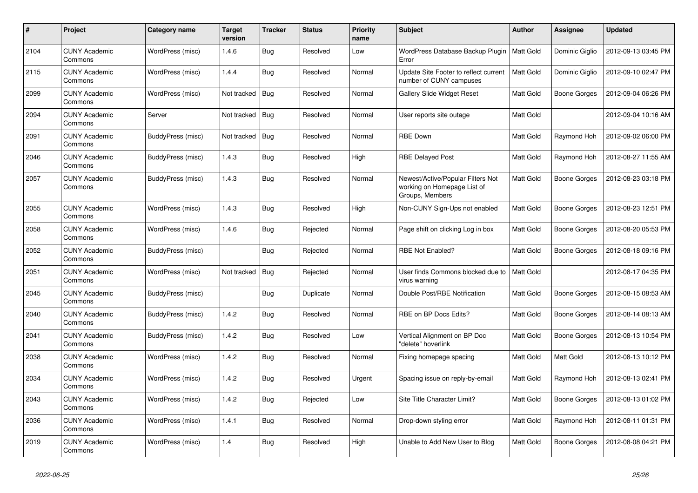| $\pmb{\#}$ | Project                         | Category name     | <b>Target</b><br>version | <b>Tracker</b> | <b>Status</b> | <b>Priority</b><br>name | <b>Subject</b>                                                                      | <b>Author</b>    | Assignee            | <b>Updated</b>      |
|------------|---------------------------------|-------------------|--------------------------|----------------|---------------|-------------------------|-------------------------------------------------------------------------------------|------------------|---------------------|---------------------|
| 2104       | <b>CUNY Academic</b><br>Commons | WordPress (misc)  | 1.4.6                    | Bug            | Resolved      | Low                     | WordPress Database Backup Plugin<br>Error                                           | <b>Matt Gold</b> | Dominic Giglio      | 2012-09-13 03:45 PM |
| 2115       | <b>CUNY Academic</b><br>Commons | WordPress (misc)  | 1.4.4                    | <b>Bug</b>     | Resolved      | Normal                  | Update Site Footer to reflect current<br>number of CUNY campuses                    | <b>Matt Gold</b> | Dominic Giglio      | 2012-09-10 02:47 PM |
| 2099       | <b>CUNY Academic</b><br>Commons | WordPress (misc)  | Not tracked              | <b>Bug</b>     | Resolved      | Normal                  | <b>Gallery Slide Widget Reset</b>                                                   | Matt Gold        | Boone Gorges        | 2012-09-04 06:26 PM |
| 2094       | <b>CUNY Academic</b><br>Commons | Server            | Not tracked              | <b>Bug</b>     | Resolved      | Normal                  | User reports site outage                                                            | Matt Gold        |                     | 2012-09-04 10:16 AM |
| 2091       | <b>CUNY Academic</b><br>Commons | BuddyPress (misc) | Not tracked              | Bug            | Resolved      | Normal                  | <b>RBE Down</b>                                                                     | Matt Gold        | Raymond Hoh         | 2012-09-02 06:00 PM |
| 2046       | <b>CUNY Academic</b><br>Commons | BuddyPress (misc) | 1.4.3                    | Bug            | Resolved      | High                    | <b>RBE Delayed Post</b>                                                             | Matt Gold        | Raymond Hoh         | 2012-08-27 11:55 AM |
| 2057       | <b>CUNY Academic</b><br>Commons | BuddyPress (misc) | 1.4.3                    | Bug            | Resolved      | Normal                  | Newest/Active/Popular Filters Not<br>working on Homepage List of<br>Groups, Members | Matt Gold        | Boone Gorges        | 2012-08-23 03:18 PM |
| 2055       | <b>CUNY Academic</b><br>Commons | WordPress (misc)  | 1.4.3                    | Bug            | Resolved      | High                    | Non-CUNY Sign-Ups not enabled                                                       | Matt Gold        | Boone Gorges        | 2012-08-23 12:51 PM |
| 2058       | <b>CUNY Academic</b><br>Commons | WordPress (misc)  | 1.4.6                    | Bug            | Rejected      | Normal                  | Page shift on clicking Log in box                                                   | Matt Gold        | Boone Gorges        | 2012-08-20 05:53 PM |
| 2052       | <b>CUNY Academic</b><br>Commons | BuddyPress (misc) |                          | <b>Bug</b>     | Rejected      | Normal                  | RBE Not Enabled?                                                                    | Matt Gold        | Boone Gorges        | 2012-08-18 09:16 PM |
| 2051       | <b>CUNY Academic</b><br>Commons | WordPress (misc)  | Not tracked              | <b>Bug</b>     | Rejected      | Normal                  | User finds Commons blocked due to<br>virus warning                                  | <b>Matt Gold</b> |                     | 2012-08-17 04:35 PM |
| 2045       | <b>CUNY Academic</b><br>Commons | BuddyPress (misc) |                          | <b>Bug</b>     | Duplicate     | Normal                  | Double Post/RBE Notification                                                        | Matt Gold        | <b>Boone Gorges</b> | 2012-08-15 08:53 AM |
| 2040       | <b>CUNY Academic</b><br>Commons | BuddyPress (misc) | 1.4.2                    | <b>Bug</b>     | Resolved      | Normal                  | RBE on BP Docs Edits?                                                               | Matt Gold        | Boone Gorges        | 2012-08-14 08:13 AM |
| 2041       | <b>CUNY Academic</b><br>Commons | BuddyPress (misc) | 1.4.2                    | Bug            | Resolved      | Low                     | Vertical Alignment on BP Doc<br>'delete" hoverlink                                  | Matt Gold        | Boone Gorges        | 2012-08-13 10:54 PM |
| 2038       | <b>CUNY Academic</b><br>Commons | WordPress (misc)  | 1.4.2                    | Bug            | Resolved      | Normal                  | Fixing homepage spacing                                                             | Matt Gold        | <b>Matt Gold</b>    | 2012-08-13 10:12 PM |
| 2034       | <b>CUNY Academic</b><br>Commons | WordPress (misc)  | 1.4.2                    | Bug            | Resolved      | Urgent                  | Spacing issue on reply-by-email                                                     | Matt Gold        | Raymond Hoh         | 2012-08-13 02:41 PM |
| 2043       | <b>CUNY Academic</b><br>Commons | WordPress (misc)  | 1.4.2                    | Bug            | Rejected      | Low                     | Site Title Character Limit?                                                         | Matt Gold        | Boone Gorges        | 2012-08-13 01:02 PM |
| 2036       | <b>CUNY Academic</b><br>Commons | WordPress (misc)  | 1.4.1                    | Bug            | Resolved      | Normal                  | Drop-down styling error                                                             | Matt Gold        | Raymond Hoh         | 2012-08-11 01:31 PM |
| 2019       | <b>CUNY Academic</b><br>Commons | WordPress (misc)  | 1.4                      | <b>Bug</b>     | Resolved      | High                    | Unable to Add New User to Blog                                                      | Matt Gold        | Boone Gorges        | 2012-08-08 04:21 PM |